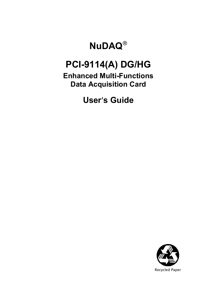# **NuDAQ**®

# **PCI-9114(A) DG/HG**

**Enhanced Multi-Functions Data Acquisition Card**

**User**′**s Guide** 

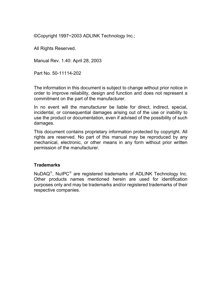©Copyright 1997~2003 ADLINK Technology Inc.;

All Rights Reserved.

Manual Rev. 1.40: April 28, 2003

Part No. 50-11114-202

The information in this document is subject to change without prior notice in order to improve reliability, design and function and does not represent a commitment on the part of the manufacturer.

In no event will the manufacturer be liable for direct, indirect, special, incidental, or consequential damages arising out of the use or inability to use the product or documentation, even if advised of the possibility of such damages.

This document contains proprietary information protected by copyright. All rights are reserved. No part of this manual may be reproduced by any mechanical, electronic, or other means in any form without prior written permission of the manufacturer.

#### **Trademarks**

NuDAQ®, NuIPC® are registered trademarks of ADLINK Technology Inc. Other products names mentioned herein are used for identification purposes only and may be trademarks and/or registered trademarks of their respective companies.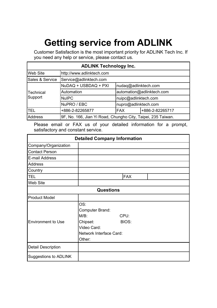# **Getting service from ADLINK**

Customer Satisfaction is the most important priority for ADLINK Tech Inc. If you need any help or service, please contact us.

| <b>ADLINK Technology Inc.</b> |                                                              |                               |  |  |  |  |  |
|-------------------------------|--------------------------------------------------------------|-------------------------------|--|--|--|--|--|
| Web Site                      | http://www.adlinktech.com                                    |                               |  |  |  |  |  |
| Sales & Service               | Service@adlinktech.com                                       |                               |  |  |  |  |  |
|                               | NuDAQ + USBDAQ + PXI                                         | nudaq@adlinktech.com          |  |  |  |  |  |
| Technical                     | automation@adlinktech.com<br>Automation                      |                               |  |  |  |  |  |
| Support                       | <b>NuIPC</b>                                                 | nuipc@adlinktech.com          |  |  |  |  |  |
|                               | NuPRO / EBC                                                  | nupro@adlinktech.com          |  |  |  |  |  |
| <b>TEL</b>                    | +886-2-82265877                                              | +886-2-82265717<br><b>FAX</b> |  |  |  |  |  |
| <b>Address</b>                | 9F, No. 166, Jian Yi Road, Chungho City, Taipei, 235 Taiwan. |                               |  |  |  |  |  |

Please email or FAX us of your detailed information for a prompt, satisfactory and constant service.

|                           | <b>Detailed Company Information</b>                                                                                |
|---------------------------|--------------------------------------------------------------------------------------------------------------------|
| Company/Organization      |                                                                                                                    |
| <b>Contact Person</b>     |                                                                                                                    |
| E-mail Address            |                                                                                                                    |
| <b>Address</b>            |                                                                                                                    |
| Country                   |                                                                                                                    |
| <b>TEL</b>                | <b>FAX</b>                                                                                                         |
| Web Site                  |                                                                                                                    |
|                           | <b>Questions</b>                                                                                                   |
| <b>Product Model</b>      |                                                                                                                    |
| <b>Environment to Use</b> | OS:<br>Computer Brand:<br>$M/B$ :<br>CPU:<br>BIOS:<br>Chipset:<br>Video Card:<br>Network Interface Card:<br>Other: |
| <b>Detail Description</b> |                                                                                                                    |
| Suggestions to ADLINK     |                                                                                                                    |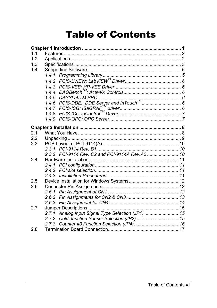# **Table of Contents**

| 1.1 |       |                                                 |  |
|-----|-------|-------------------------------------------------|--|
| 12  |       |                                                 |  |
| 1.3 |       |                                                 |  |
| 1.4 |       |                                                 |  |
|     |       |                                                 |  |
|     |       |                                                 |  |
|     |       |                                                 |  |
|     |       |                                                 |  |
|     |       |                                                 |  |
|     |       |                                                 |  |
|     |       |                                                 |  |
|     | 1.4.8 |                                                 |  |
|     |       |                                                 |  |
|     |       |                                                 |  |
| 2.1 |       |                                                 |  |
| 2.2 |       |                                                 |  |
| 2.3 |       |                                                 |  |
|     |       |                                                 |  |
|     |       | 2.3.2 PCI-9114 Rev. C2 and PCI-9114A Rev.A2  10 |  |
| 24  |       |                                                 |  |
|     |       |                                                 |  |
|     |       |                                                 |  |
|     | 243   |                                                 |  |
| 2.5 |       |                                                 |  |
| 2.6 |       |                                                 |  |
|     |       |                                                 |  |
|     |       |                                                 |  |
|     |       |                                                 |  |
| 2.7 |       |                                                 |  |
|     | 2.7.1 | Analog Input Signal Type Selection (JP1)  15    |  |
|     |       | 2.7.2 Cold Junction Sensor Selection (JP2)  15  |  |
|     |       |                                                 |  |
| 2.8 |       |                                                 |  |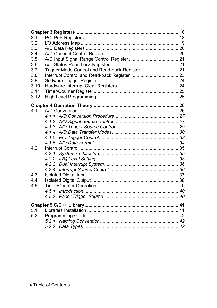| 3.1  |                                                |  |
|------|------------------------------------------------|--|
| 3.2  |                                                |  |
| 3.3  |                                                |  |
| 3.4  |                                                |  |
| 3.5  |                                                |  |
| 3.6  |                                                |  |
| 3.7  | Trigger Mode Control and Read-back Register 21 |  |
| 3.8  |                                                |  |
| 3.9  |                                                |  |
| 3.10 |                                                |  |
| 3.11 |                                                |  |
| 3.12 |                                                |  |
|      |                                                |  |
| 4 1  |                                                |  |
|      |                                                |  |
|      |                                                |  |
|      |                                                |  |
|      |                                                |  |
|      |                                                |  |
|      |                                                |  |
| 4.2  |                                                |  |
|      |                                                |  |
|      |                                                |  |
|      |                                                |  |
|      |                                                |  |
| 4.3  |                                                |  |
| 4.4  |                                                |  |
| 4.5  |                                                |  |
|      |                                                |  |
|      |                                                |  |
|      |                                                |  |
| 5.1  |                                                |  |
| 5.2  |                                                |  |
|      |                                                |  |
|      |                                                |  |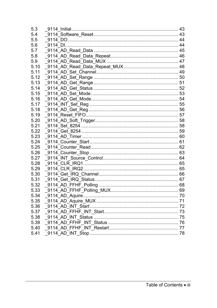| 5.3  |  |
|------|--|
| 5.4  |  |
| 5.5  |  |
| 5.6  |  |
| 5.7  |  |
| 5.8  |  |
| 5.9  |  |
| 5.10 |  |
| 5.11 |  |
| 5.12 |  |
| 5.13 |  |
| 5.14 |  |
| 5.15 |  |
| 5.16 |  |
| 5.17 |  |
| 5.18 |  |
| 5.19 |  |
| 5.20 |  |
| 5.21 |  |
| 5.22 |  |
| 5.23 |  |
| 5.24 |  |
| 5.25 |  |
| 5.26 |  |
| 5.27 |  |
| 5.28 |  |
| 5.29 |  |
| 5.30 |  |
| 5.31 |  |
| 5.32 |  |
| 5.33 |  |
| 5.34 |  |
| 5.35 |  |
| 5.36 |  |
| 5.37 |  |
| 5.38 |  |
| 5.39 |  |
| 5.40 |  |
| 5.41 |  |
|      |  |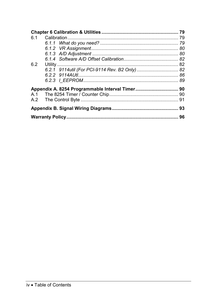| 6.2 |  |
|-----|--|
|     |  |
|     |  |
|     |  |
|     |  |
|     |  |
|     |  |
|     |  |
|     |  |
|     |  |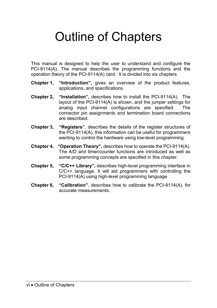# Outline of Chapters

This manual is designed to help the user to understand and configure the PCI-9114(A). The manual describes the programming functions and the operation theory of the PCI-9114(A) card. It is divided into six chapters

- **Chapter 1, "Introduction",** gives an overview of the product features, applications, and specifications.
- **Chapter 2, "Installation",** describes how to install the PCI-9114(A). The layout of the PCI-9114(A) is shown, and the jumper settings for analog input channel configurations are specified. The connector pin assignments and termination board connections are described.
- **Chapter 3, "Registers"**, describes the details of the register structures of the PCI-9114(A), this information can be useful for programmers wanting to control the hardware using low-level programming.
- **Chapter 4, "Operation Theory",** describes how to operate the PCI-9114(A). The A/D and timer/counter functions are introduced as well as some programming concepts are specified in this chapter.
- **Chapter 5, "C/C++ Library",** describes high-level programming interface in C/C++ language. It will aid programmers with controlling the PCI-9114(A) using high-level programming language
- **Chapter 6, "Calibration"**, describes how to calibrate the PCI-9114(A), for accurate measurements.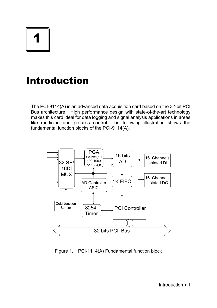# 1

# Introduction

The PCI-9114(A) is an advanced data acquisition card based on the 32-bit PCI Bus architecture. High performance design with state-of-the-art technology makes this card ideal for data logging and signal analysis applications in areas like medicine and process control. The following illustration shows the fundamental function blocks of the PCI-9114(A).



Figure 1. PCI-1114(A) Fundamental function block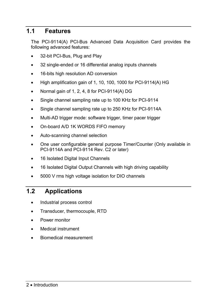# **1.1 Features**

The PCI-9114(A) PCI-Bus Advanced Data Acquisition Card provides the following advanced features:

- 32-bit PCI-Bus, Plug and Play
- 32 single-ended or 16 differential analog inputs channels
- 16-bits high resolution AD conversion
- High amplification gain of 1, 10, 100, 1000 for PCI-9114(A) HG
- Normal gain of 1, 2, 4, 8 for PCI-9114(A) DG
- Single channel sampling rate up to 100 KHz for PCI-9114
- Single channel sampling rate up to 250 KHz for PCI-9114A
- Multi-AD trigger mode: software trigger, timer pacer trigger
- On-board A/D 1K WORDS FIFO memory
- Auto-scanning channel selection
- One user configurable general purpose Timer/Counter (Only available in PCI-9114A and PCI-9114 Rev. C2 or later)
- 16 Isolated Digital Input Channels
- 16 Isolated Digital Output Channels with high driving capability
- 5000 V rms high voltage isolation for DIO channels

# **1.2 Applications**

- Industrial process control
- Transducer, thermocouple, RTD
- Power monitor
- Medical instrument
- Biomedical measurement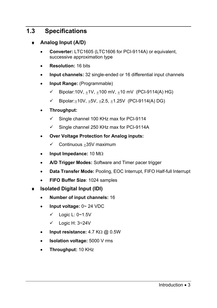# **1.3 Specifications**

- ♦ **Analog Input (A/D)** 
	- **Converter:** LTC1605 (LTC1606 for PCI-9114A) or equivalent, successive approximation type
	- **Resolution:** 16 bits
	- **Input channels:** 32 single-ended or 16 differential input channels
	- **Input Range:** (Programmable)
		- $\checkmark$  Bipolar: 10V,  $+1V$ ,  $+100$  mV,  $+10$  mV (PCI-9114(A) HG)
		- $\checkmark$  Bipolar: +10V, +5V, +2.5, +1.25V (PCI-9114(A) DG)
	- **Throughput:** 
		- $\checkmark$  Single channel 100 KHz max for PCI-9114
		- $\checkmark$  Single channel 250 KHz max for PCI-9114A
	- **Over Voltage Protection for Analog inputs:** 
		- $\checkmark$  Continuous +35V maximum
	- **Input Impedance:** 10 MΩ
	- **A/D Trigger Modes:** Software and Timer pacer trigger
	- **Data Transfer Mode:** Pooling, EOC Interrupt, FIFO Half-full Interrupt
	- **FIFO Buffer Size**: 1024 samples
- **Isolated Digital Input (IDI)** 
	- **Number of input channels:** 16
	- • **Input voltage:** 0~ 24 VDC
		- $\checkmark$  Logic L: 0~1.5V
		- $\checkmark$  Logic H: 3~24V
	- **Input resistance:** 4.7 KΩ @ 0.5W
	- **Isolation voltage:** 5000 V rms
	- **Throughput:** 10 KHz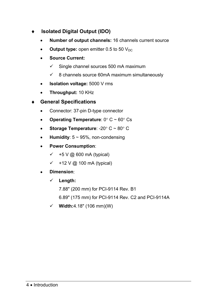- **Isolated Digital Output (IDO)** 
	- **Number of output channels:** 16 channels current source
	- **Output type:** open emitter 0.5 to 50  $V_{DC}$
	- **Source Current:** 
		- $\checkmark$  Single channel sources 500 mA maximum
		- $\checkmark$  8 channels source 60mA maximum simultaneously
	- **Isolation voltage:** 5000 V rms
	- **Throughput:** 10 KHz

## **General Specifications**

- Connector: 37-pin D-type connector
- **Operating Temperature**: 0° C ~ 60° Cs
- **Storage Temperature**: -20° C ~ 80° C
- **Humidity**: 5 ~ 95%, non-condensing
- **Power Consumption**:
	- $\checkmark$  +5 V @ 600 mA (typical)
	- $\checkmark$  +12 V @ 100 mA (typical)
- **Dimension**:
	- 9 **Length:** 
		- 7.88" (200 mm) for PCI-9114 Rev. B1
		- 6.89" (175 mm) for PCI-9114 Rev. C2 and PCI-9114A
	- $\checkmark$  Width:4.18" (106 mm)(W)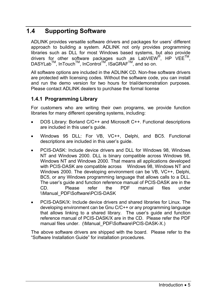# **1.4 Supporting Software**

ADLINK provides versatile software drivers and packages for users' different approach to building a system. ADLINK not only provides programming libraries such as DLL for most Windows based systems, but also provide drivers for other software packages such as LabVIEW<sup>®</sup>, HP VEE<sup>TM</sup>, DASYLabTM, InTouchTM, InControlTM, ISaGRAFTM, and so on.

All software options are included in the ADLINK CD. Non-free software drivers are protected with licensing codes. Without the software code, you can install and run the demo version for two hours for trial/demonstration purposes. Please contact ADLINK dealers to purchase the formal license

#### **1.4.1 Programming Library**

For customers who are writing their own programs, we provide function libraries for many different operating systems, including:

- DOS Library: Borland C/C++ and Microsoft C++. Functional descriptions are included in this user's guide.
- Windows 95 DLL: For VB, VC++, Delphi, and BC5. Functional descriptions are included in this user's guide.
- PCIS-DASK: Include device drivers and DLL for Windows 98, Windows NT and Windows 2000. DLL is binary compatible across Windows 98, Windows NT and Windows 2000. That means all applications developed with PCIS-DASK are compatible across Windows 98, Windows NT and Windows 2000. The developing environment can be VB, VC++, Delphi, BC5, or any Windows programming language that allows calls to a DLL. The user's guide and function reference manual of PCIS-DASK are in the<br>CD. Please refer the PDF manual files under CD. Please refer the PDF manual files under \\Manual\_PDF\Software\PCIS-DASK
- PCIS-DASK/X: Include device drivers and shared libraries for Linux. The developing environment can be Gnu C/C++ or any programming language that allows linking to a shared library. The user's guide and function reference manual of PCIS-DASK/X are in the CD. Please refer the PDF manual files under. (\Manual\_PDF\Software\PCIS-DASK-X.)

The above software drivers are shipped with the board. Please refer to the "Software Installation Guide" for installation procedures.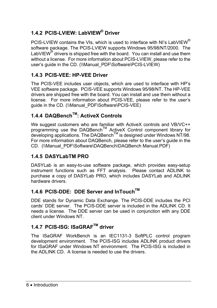# **1.4.2 PCIS-LVIEW: LabVIEW® Driver**

PCIS-LVIEW contains the VIs, which is used to interface with NI's LabVIEW<sup>®</sup> software package. The PCIS-LVIEW supports Windows 95/98/NT/2000. The LabVIEW $^{\circledR}$  drivers is shipped free with the board. You can install and use them without a license. For more information about PCIS-LVIEW, please refer to the user's guide in the CD. (\\Manual\_PDF\Software\PCIS-LVIEW)

## **1.4.3 PCIS-VEE: HP-VEE Driver**

The PCIS-VEE includes user objects, which are used to interface with HP's VEE software package. PCIS-VEE supports Windows 95/98/NT. The HP-VEE drivers are shipped free with the board. You can install and use them without a license. For more information about PCIS-VEE, please refer to the user's guide in the CD. (\\Manual\_PDF\Software\PCIS-VEE)

# **1.4.4 DAQBenchTM: ActiveX Controls**

We suggest customers who are familiar with ActiveX controls and VB/VC++ programming use the DAQBench™ ActiveX Control component library for  $\alpha$  developing applications. The DAQBench<sup>TM</sup> is designed under Windows NT/98. For more information about DAQBench, please refer to the user's guide in the CD. (\\Manual\_PDF\Software\DAQBench\DAQBench Manual.PDF)

## **1.4.5 DASYLabTM PRO**

DASYLab is an easy-to-use software package, which provides easy-setup instrument functions such as FFT analysis. Please contact ADLINK to purchase a copy of DASYLab PRO, which includes DASYLab and ADLINK hardware drivers.

# **1.4.6 PCIS-DDE: DDE Server and InTouchTM**

DDE stands for Dynamic Data Exchange. The PCIS-DDE includes the PCI cards' DDE server. The PCIS-DDE server is included in the ADLINK CD. It needs a license. The DDE server can be used in conjunction with any DDE client under Windows NT.

# **1.4.7 PCIS-ISG: ISaGRAFTM driver**

The ISaGRAF WorkBench is an IEC1131-3 SoftPLC control program development environment. The PCIS-ISG includes ADLINK product drivers for ISaGRAF under Windows NT environment. The PCIS-ISG is included in the ADLINK CD. A license is needed to use the drivers.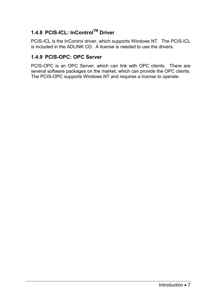# **1.4.8 PCIS-ICL: InControlTM Driver**

PCIS-ICL is the InControl driver, which supports Windows NT. The PCIS-ICL is included in the ADLINK CD. A license is needed to use the drivers.

#### **1.4.9 PCIS-OPC: OPC Server**

PCIS-OPC is an OPC Server, which can link with OPC clients. There are several software packages on the market, which can provide the OPC clients. The PCIS-OPC supports Windows NT and requires a license to operate.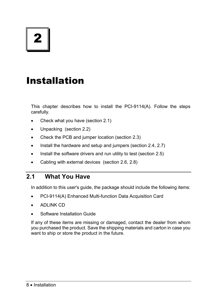# Installation

This chapter describes how to install the PCI-9114(A). Follow the steps carefully.

- Check what you have (section 2.1)
- Unpacking (section 2.2)
- Check the PCB and jumper location (section 2.3)
- Install the hardware and setup and jumpers (section 2.4, 2.7)
- Install the software drivers and run utility to test (section 2.5)
- Cabling with external devices (section 2.6, 2.8)

# **2.1 What You Have**

In addition to this user's guide, the package should include the following items:

- PCI-9114(A) Enhanced Multi-function Data Acquisition Card
- ADLINK CD
- Software Installation Guide

If any of these items are missing or damaged, contact the dealer from whom you purchased the product. Save the shipping materials and carton in case you want to ship or store the product in the future.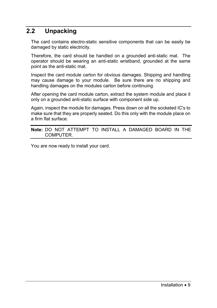# **2.2 Unpacking**

The card contains electro-static sensitive components that can be easily be damaged by static electricity.

Therefore, the card should be handled on a grounded anti-static mat. The operator should be wearing an anti-static wristband, grounded at the same point as the anti-static mat.

Inspect the card module carton for obvious damages. Shipping and handling may cause damage to your module. Be sure there are no shipping and handling damages on the modules carton before continuing.

After opening the card module carton, extract the system module and place it only on a grounded anti-static surface with component side up.

Again, inspect the module for damages. Press down on all the socketed IC's to make sure that they are properly seated. Do this only with the module place on a firm flat surface.

#### **Note:** DO NOT ATTEMPT TO INSTALL A DAMAGED BOARD IN THE COMPUTER.

You are now ready to install your card.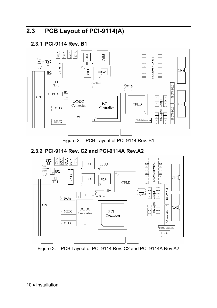# **2.3 PCB Layout of PCI-9114(A)**

## **2.3.1 PCI-9114 Rev. B1**



Figure 2. PCB Layout of PCI-9114 Rev. B1

# **2.3.2 PCI-9114 Rev. C2 and PCI-9114A Rev.A2**



Figure 3. PCB Layout of PCI-9114 Rev. C2 and PCI-9114A Rev.A2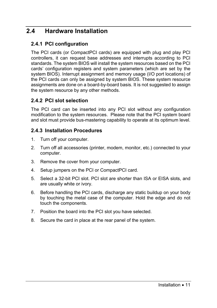# **2.4 Hardware Installation**

#### **2.4.1 PCI configuration**

The PCI cards (or CompactPCI cards) are equipped with plug and play PCI controllers, it can request base addresses and interrupts according to PCI standards. The system BIOS will install the system resources based on the PCI cards' configuration registers and system parameters (which are set by the system BIOS). Interrupt assignment and memory usage (I/O port locations) of the PCI cards can only be assigned by system BIOS. These system resource assignments are done on a board-by-board basis. It is not suggested to assign the system resource by any other methods.

#### **2.4.2 PCI slot selection**

The PCI card can be inserted into any PCI slot without any configuration modification to the system resources. Please note that the PCI system board and slot must provide bus-mastering capability to operate at its optimum level.

#### **2.4.3 Installation Procedures**

- 1. Turn off your computer.
- 2. Turn off all accessories (printer, modem, monitor, etc.) connected to your computer.
- 3. Remove the cover from your computer.
- 4. Setup jumpers on the PCI or CompactPCI card.
- 5. Select a 32-bit PCI slot. PCI slot are shorter than ISA or EISA slots, and are usually white or ivory.
- 6. Before handling the PCI cards, discharge any static buildup on your body by touching the metal case of the computer. Hold the edge and do not touch the components.
- 7. Position the board into the PCI slot you have selected.
- 8. Secure the card in place at the rear panel of the system.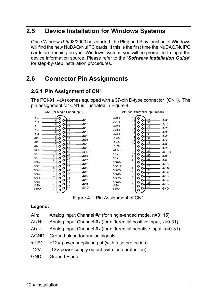# **2.5 Device Installation for Windows Systems**

Once Windows 95/98/2000 has started, the Plug and Play function of Windows will find the new NuDAQ/NuIPC cards. If this is the first time the NuDAQ/NuIPC cards are running on your Windows system, you will be prompted to input the device information source. Please refer to the "*Software Installation Guide*" for step-by-step installation procedures.

# **2.6 Connector Pin Assignments**

## **2.6.1 Pin Assignment of CN1**

The PCI-9114(A) comes equipped with a 37-pin D-type connector (CN1). The pin assignment for CN1 is illustrated in Figure 4.





Figure 4. Pin Assignment of CN1

#### **Legend:**

- AIn: Analog Input Channel #*n* (for single-ended mode, n=0~15)
- AIxH: Analog Input Channel #*x* (for differential positive input, x=0-31)
- AixL: Analog Input Channel #*x* (for differential negative input, x=0-31)
- AGND: Ground plane for analog signals
- +12V: +12V power supply output (with fuse protection)
- -12V: -12V power supply output (with fuse protection)
- GND: Ground Plane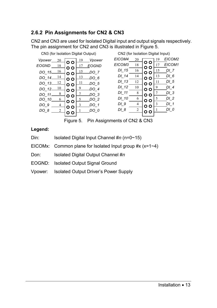## **2.6.2 Pin Assignments for CN2 & CN3**

CN2 and CN3 are used for Isolated Digital input and output signals respectively. The pin assignment for CN2 and CN3 is illustrated in Figure 5.



Figure 5. Pin Assignments of CN2 & CN3

#### **Legend:**

- Din: Isolated Digital Input Channel #*n* (n=0~15)
- EICOMx: Common plane for Isolated Input group  $#x(x=1~4)$
- Don: Isolated Digital Output Channel #*n*
- EOGND: Isolated Output Signal Ground
- Vpower: Isolated Output Driver's Power Supply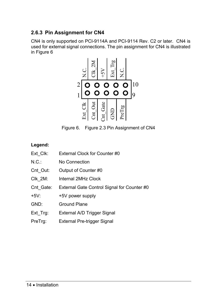## **2.6.3 Pin Assignment for CN4**

CN4 is only supported on PCI-9114A and PCI-9114 Rev. C2 or later. CN4 is used for external signal connections. The pin assignment for CN4 is illustrated in Figure 6



Figure 6. Figure 2.3 Pin Assignment of CN4

#### **Legend:**

- Ext Clk: External Clock for Counter #0
- N.C.: No Connection
- Cnt Out: Output of Counter #0
- Clk\_2M: Internal 2MHz Clock
- Cnt Gate: External Gate Control Signal for Counter #0
- +5V: +5V power supply
- GND: Ground Plane
- Ext\_Trg: External A/D Trigger Signal
- PreTrg: External Pre-trigger Signal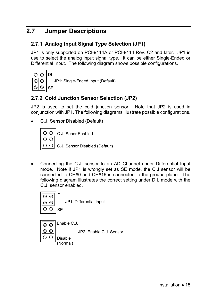# **2.7 Jumper Descriptions**

#### **2.7.1 Analog Input Signal Type Selection (JP1)**

JP1 is only supported on PCI-9114A or PCI-9114 Rev. C2 and later. JP1 is use to select the analog input signal type. It can be either Single-Ended or Differential Input. The following diagram shows possible configurations.



JP1: Single-Ended Input (Default)

### **2.7.2 Cold Junction Sensor Selection (JP2)**

JP2 is used to set the cold junction sensor. Note that JP2 is used in conjunction with JP1. The following diagrams illustrate possible configurations.

• C.J. Sensor Disabled (Default)



• Connecting the C.J. sensor to an AD Channel under Differential Input mode. Note if JP1 is wrongly set as SE mode, the C.J sensor will be connected to CH#0 and CH#16 is connected to the ground plane. The following diagram illustrates the correct setting under D.I. mode with the C.J. sensor enabled.



ା⊙ ାତ ОΟ JP1: Differential Input

Enable C.J.

JP2: Enable C.J. Sensor

Disable (Normal)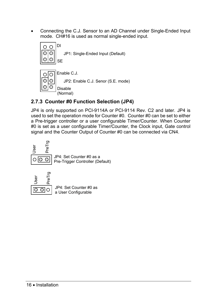• Connecting the C.J. Sensor to an AD Channel under Single-Ended Input mode. CH#16 is used as normal single-ended input.



# **2.7.3 Counter #0 Function Selection (JP4)**

JP4 is only supported on PCI-9114A or PCI-9114 Rev. C2 and later. JP4 is used to set the operation mode for Counter #0. Counter #0 can be set to either a Pre-trigger controller or a user configurable Timer/Counter. When Counter #0 is set as a user configurable Timer/Counter, the Clock input, Gate control signal and the Counter Output of Counter #0 can be connected via CN4.





JP4: Set Counter #0 as a User Configurable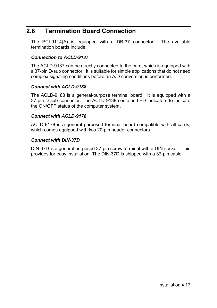# **2.8 Termination Board Connection**

The PCI-9114(A) is equipped with a DB-37 connector. The available termination boards include:

#### *Connection to ACLD-9137*

The ACLD-9137 can be directly connected to the card, which is equipped with a 37-pin D-sub connector. It is suitable for simple applications that do not need complex signaling conditions before an A/D conversion is performed.

#### *Connect with ACLD-9188*

The ACLD-9188 is a general-purpose terminal board. It is equipped with a 37-pin D-sub connector. The ACLD-9138 contains LED indicators to indicate the ON/OFF status of the computer system.

#### *Connect with ACLD-9178*

ACLD-9178 is a general purposed terminal board compatible with all cards, which comes equipped with two 20-pin header connectors.

#### *Connect with DIN-37D*

DIN-37D is a general purposed 37-pin screw terminal with a DIN-socket. This provides for easy installation. The DIN-37D is shipped with a 37-pin cable.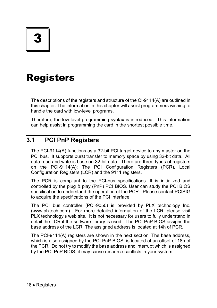# Registers

The descriptions of the registers and structure of the CI-9114(A) are outlined in this chapter. The information in this chapter will assist programmers wishing to handle the card with low-level programs.

Therefore, the low level programming syntax is introduced. This information can help assist in programming the card in the shortest possible time.

# **3.1 PCI PnP Registers**

The PCI-9114(A) functions as a 32-bit PCI target device to any master on the PCI bus. It supports burst transfer to memory space by using 32-bit data. All data read and write is base on 32-bit data. There are three types of registers on the PCI-9114(A): The PCI Configuration Registers (PCR), Local Configuration Registers (LCR) and the 9111 registers.

The PCR is compliant to the PCI-bus specifications. It is initialized and controlled by the plug & play (PnP) PCI BIOS. User can study the PCI BIOS specification to understand the operation of the PCR. Please contact PCISIG to acquire the specifications of the PCI interface.

The PCI bus controller (PCI-9050) is provided by PLX technology Inc. (www.plxtech.com). For more detailed information of the LCR, please visit PLX technology's web site. It is not necessary for users to fully understand in detail the LCR if the software library is used. The PCI PnP BIOS assigns the base address of the LCR. The assigned address is located at 14h of PCR.

The PCI-9114(A) registers are shown in the next section. The base address, which is also assigned by the PCI PnP BIOS, is located at an offset of 18h of the PCR. Do not try to modify the base address and interrupt which is assigned by the PCI PnP BIOS; it may cause resource conflicts in your system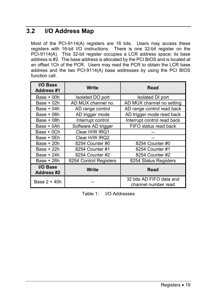# **3.2 I/O Address Map**

Most of the PCI-9114(A) registers are 16 bits. Users may access these registers with 16-bit I/O instructions. There is one 32-bit register on the PCI-9114(A). This 32-bit register occupies a LCR address space; its base address is #2. The base address is allocated by the PCI BIOS and is located at an offset 1Ch of the PCR. Users may read the PCR to obtain the LCR base address and the two PCI-9114(A) base addresses by using the PCI BIOS function call.

| I/O Base<br>Address #1        | <b>Write</b>           | Read                                            |  |
|-------------------------------|------------------------|-------------------------------------------------|--|
| $Base + 00h$                  | Isolated DO port       | Isolated DI port                                |  |
| Base + 02h                    | AD MUX channel no.     | AD MUX channel no setting                       |  |
| Base + 04h                    | AD range control       | AD range control read back                      |  |
| Base + 06h                    | AD trigger mode        | AD trigger mode read back                       |  |
| Base + 08h                    | Interrupt control      | Interrupt control read back                     |  |
| Base + 0Ah                    | Software AD trigger    | FIFO status read back                           |  |
| Base + 0Ch                    | Clear H/W IRQ1         |                                                 |  |
| Base + 0Eh                    | Clear H/W IRQ2         |                                                 |  |
| Base $+20h$                   | 8254 Counter #0        | 8254 Counter #0                                 |  |
| Base + 22h                    | 8254 Counter #1        | 8254 Counter #1                                 |  |
| Base + 24h                    | 8254 Counter #2        | 8254 Counter #2                                 |  |
| Base $+26h$                   | 8254 Control Registers | 8254 Status Registers                           |  |
| I/O Base<br><b>Address #2</b> | Write                  | Read                                            |  |
| Base 2 + 40h                  |                        | 32 bits AD FIFO data and<br>channel number read |  |

| Table 1:<br>I/O Addresses |
|---------------------------|
|---------------------------|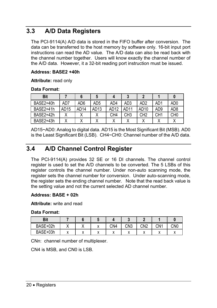# **3.3 A/D Data Registers**

The PCI-9114(A) A/D data is stored in the FIFO buffer after conversion. The data can be transferred to the host memory by software only. 16-bit input port instructions can read the AD value. The A/D data can also be read back with the channel number together. Users will know exactly the channel number of the A/D data. However, it a 32-bit reading port instruction must be issued.

#### **Address: BASE2 +40h**

**Attribute:** read only

#### **Data Format:**

| <b>Bit</b>            |      |                  |                  |                  |                 |                 |                 |                 |
|-----------------------|------|------------------|------------------|------------------|-----------------|-----------------|-----------------|-----------------|
| BASE2+40h             | AD7  | AD6              | AD5              | AD4              | AD <sub>3</sub> | AD2             | AD1             | AD0             |
| BASF <sub>2+41h</sub> | AD15 | AD <sub>14</sub> | AD <sub>13</sub> | AD <sub>12</sub> | AD11            | AD10            | AD9             | AD8             |
| BASF <sub>2+42h</sub> |      | v                | v                | CH4              | CH3             | CH <sub>2</sub> | CH <sub>1</sub> | CH <sub>0</sub> |
| BASE2+43h             |      |                  |                  |                  |                 |                 |                 |                 |

AD15~AD0: Analog to digital data. AD15 is the Most Significant Bit (MSB). AD0 is the Least Significant Bit (LSB). CH4~CH0: Channel number of the A/D data.

# **3.4 A/D Channel Control Register**

The PCI-9114(A) provides 32 SE or 16 DI channels. The channel control register is used to set the A/D channels to be converted. The 5 LSBs of this register controls the channel number. Under non-auto scanning mode, the register sets the channel number for conversion. Under auto-scanning mode, the register sets the ending channel number. Note that the read back value is the setting value and not the current selected AD channel number.

#### **Address: BASE + 02h**

**Attribute:** write and read

#### **Data Format:**

| <b>Bit</b> |   |              |     |                 |                 |     |     |
|------------|---|--------------|-----|-----------------|-----------------|-----|-----|
| BASE+02h   |   | $\mathbf{v}$ | CN4 | CN <sub>3</sub> | CN <sub>2</sub> | CN1 | CN0 |
| BASE+03h   | " |              |     | $\lambda$       |                 |     |     |

CNn: channel number of multiplexer.

CN4 is MSB, and CN0 is LSB.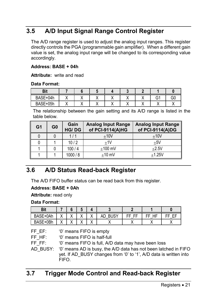# **3.5 A/D Input Signal Range Control Register**

The A/D range register is used to adjust the analog input ranges. This register directly controls the PGA (programmable gain amplifier). When a different gain value is set, the analog input range will be changed to its corresponding value accordingly.

#### **Address: BASE + 04h**

**Attribute:** write and read

#### **Data Format:**

| <b>Bit</b> |  |  |  |   |  |
|------------|--|--|--|---|--|
| BASE+04h   |  |  |  | ົ |  |
| BASE+05h   |  |  |  |   |  |

The relationship between the gain setting and its A/D range is listed in the table below.

| G <sub>1</sub> | G0 | Gain<br><b>HG/DG</b> | <b>Analog Input Range</b><br>of PCI-9114(A)HG | <b>Analog Input Range</b><br>of PCI-9114(A)DG |
|----------------|----|----------------------|-----------------------------------------------|-----------------------------------------------|
|                |    | 1/1                  | $+10V$                                        | $+10V$                                        |
|                |    | 10/2                 | $+1V$                                         | $+5V$                                         |
|                |    | 100/4                | $+100$ mV                                     | $+2.5V$                                       |
|                |    | 1000/8               | $+10$ mV                                      | $+1.25V$                                      |

# **3.6 A/D Status Read-back Register**

The A/D FIFO buffer status can be read back from this register.

#### **Address: BASE + 0Ah**

**Attribute:** read only

#### **Data Format:**

| Bit      |               |                                  |                                 |                            |                   |   |         |   |
|----------|---------------|----------------------------------|---------------------------------|----------------------------|-------------------|---|---------|---|
| BASE+0Ah | $\cdot$<br>,, | $\ddot{\phantom{1}}$<br>$\cdots$ | $\mathbf{v}$<br>$\cdot$         | $\cdot$<br>↗               | <b>BUSY</b><br>AD | ᄄ | ᄄ<br>ΗF | ᄄ |
| BASE+0Bh | $\cdot$       | $\ddot{\phantom{1}}$<br>,,       | $\ddot{\phantom{1}}$<br>$\cdot$ | $\ddot{\phantom{1}}$<br>,, |                   |   |         |   |

FF HF: '0' means FIFO is half-full

FF FF: '0' means FIFO is full, A/D data may have been loss

AD\_BUSY: '0' means AD is busy, the A/D data has not been latched in FIFO yet. If AD\_BUSY changes from '0' to '1', A/D data is written into FIFO.

# **3.7 Trigger Mode Control and Read-back Register**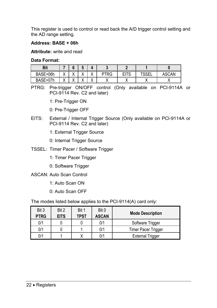This register is used to control or read back the A/D trigger control setting and the AD range setting.

#### **Address: BASE + 06h**

#### **Attribute:** write and read

#### **Data Format:**

| Bit      |                        |               | $\bullet$            |                        |      |             |             |                        |
|----------|------------------------|---------------|----------------------|------------------------|------|-------------|-------------|------------------------|
| BASE+06h | $\lambda$<br>$\lambda$ | $\cdot$<br>,, | $\cdot$<br>$\lambda$ | $\lambda$<br>$\lambda$ | PTRG | <b>EITS</b> | <b>TOOF</b> | CAN<br>AS <sub>1</sub> |
| BASE+07h | $\cdot$                | $\cdot$<br>,, | $\cdot$<br>$\cdots$  | $\cdot$<br>$\lambda$   |      |             |             |                        |

PTRG: Pre-trigger ON/OFF control (Only available on PCI-9114A or PCI-9114 Rev. C2 and later)

1: Pre-Trigger ON

0: Pre-Trigger OFF

- EITS: External / Internal Trigger Source (Only available on PCI-9114A or PCI-9114 Rev. C2 and later)
	- 1: External Trigger Source
	- 0: Internal Trigger Source
- TSSEL: Timer Pacer / Software Trigger
	- 1: Timer Pacer Trigger
	- 0: Software Trigger
- ASCAN: Auto Scan Control
	- 1: Auto Scan ON
	- 0: Auto Scan OFF

The modes listed below applies to the PCI-9114(A) card only:

| Bit 3       | Bit 2       | Bit 1       | Bit 0        | <b>Mode Description</b>    |
|-------------|-------------|-------------|--------------|----------------------------|
| <b>PTRG</b> | <b>EITS</b> | <b>TPST</b> | <b>ASCAN</b> |                            |
| 0/1         |             |             | 0/1          | Software Trigger           |
| 0/1         |             |             | 0/1          | <b>Timer Pacer Trigger</b> |
| 0/1         |             |             | 0/1          | <b>External Trigger</b>    |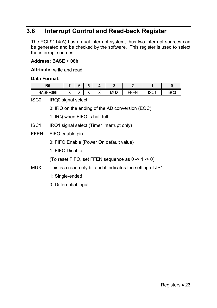# **3.8 Interrupt Control and Read-back Register**

The PCI-9114(A) has a dual interrupt system, thus two interrupt sources can be generated and be checked by the software. This register is used to select the interrupt sources.

#### **Address: BASE + 08h**

**Attribute:** write and read

#### **Data Format:**

| D¦+<br>יים                       |     |           | ы                      |                      |            |                   |               |      |
|----------------------------------|-----|-----------|------------------------|----------------------|------------|-------------------|---------------|------|
| <b>DAOF</b><br>08h<br>BASE<br>+1 | . . | ٠.<br>. . | $\lambda$<br>$\lambda$ | $\cdot$<br>$\lambda$ | <b>MUX</b> | -----<br>--<br>-- | 1001<br>ו טטו | 1000 |

ISC0: IRQ0 signal select

0: IRQ on the ending of the AD conversion (EOC)

1: IRQ when FIFO is half full

- ISC1: IRQ1 signal select (Timer Interrupt only)
- FFEN: FIFO enable pin

0: FIFO Enable (Power On default value)

1: FIFO Disable

(To reset FIFO, set FFEN sequence as 0 -> 1 -> 0)

- MUX: This is a read-only bit and it indicates the setting of JP1.
	- 1:Single-ended
	- 0: Differential-input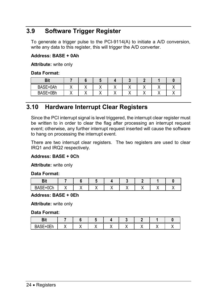# **3.9 Software Trigger Register**

To generate a trigger pulse to the PCI-9114(A) to initiate a A/D conversion, write any data to this register, this will trigger the A/D converter.

#### **Address: BASE + 0Ah**

**Attribute:** write only

#### **Data Format:**

| D.<br>וסי. |  |  |  |  |
|------------|--|--|--|--|
| BASE+0Ah   |  |  |  |  |
| BASE+0Bh   |  |  |  |  |

# **3.10 Hardware Interrupt Clear Registers**

Since the PCI interrupt signal is level triggered, the interrupt clear register must be written to in order to clear the flag after processing an interrupt request event; otherwise, any further interrupt request inserted will cause the software to hang on processing the interrupt event.

There are two interrupt clear registers. The two registers are used to clear IRQ1 and IRQ2 respectively.

#### **Address: BASE + 0Ch**

**Attribute:** write only

#### **Data Format:**

| ۱E.         |  |  |  |  |
|-------------|--|--|--|--|
| $\sim$<br>∍ |  |  |  |  |

#### **Address: BASE + 0Eh**

**Attribute:** write only

#### **Data Format:**

| -- |  |  |  |  |
|----|--|--|--|--|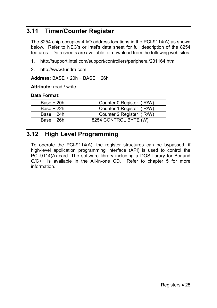# **3.11 Timer/Counter Register**

The 8254 chip occupies 4 I/O address locations in the PCI-9114(A) as shown below. Refer to NEC's or Intel's data sheet for full description of the 8254 features. Data sheets are available for download from the following web sites:

- 1. http://support.intel.com/support/controllers/peripheral/231164.htm
- 2. http://www.tundra.com

**Address:** BASE + 20h ~ BASE + 26h

**Attribute:** read / write

#### **Data Format:**

| Counter 0 Register (R/W) |
|--------------------------|
| Counter 1 Register (R/W) |
| Counter 2 Register (R/W) |
| 8254 CONTROL BYTE (W)    |
|                          |

# **3.12 High Level Programming**

To operate the PCI-9114(A), the register structures can be bypassed, if high-level application programming interface (API) is used to control the PCI-9114(A) card. The software library including a DOS library for Borland C/C++ is available in the All-in-one CD. Refer to chapter 5 for more information.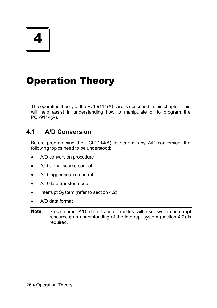4

# Operation Theory

The operation theory of the PCI-9114(A) card is described in this chapter. This will help assist in understanding how to manipulate or to program the PCI-9114(A).

# **4.1 A/D Conversion**

Before programming the PCI-9114(A) to perform any A/D conversion, the following topics need to be understood:

- A/D conversion procedure
- A/D signal source control
- A/D trigger source control
- A/D data transfer mode
- Interrupt System (refer to section 4.2)
- A/D data format

**Note:** Since some A/D data transfer modes will use system interrupt resources; an understanding of the interrupt system (section 4.2) is required.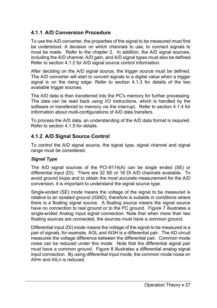## **4.1.1 A/D Conversion Procedure**

To use the A/D converter, the properties of the signal to be measured must first be understood. A decision on which channels to use, to connect signals to must be made. Refer to the chapter 2. In addition, the A/D signal sources, including the A/D channel, A/D gain, and A/D signal types must also be defined. Refer to section 4.1.2 for A/D signal source control information.

After deciding on the A/D signal source, the trigger source must be defined. The A/D converter will start to convert signals to a digital value when a trigger signal is on the rising edge. Refer to section 4.1.3 for details of the two available trigger sources.

The A/D data is then transferred into the PC's memory for further processing. The data can be read back using I/O instructions, which is handled by the software or transferred to memory via the interrupt. Refer to section 4.1.4 for information about multi-configurations of A/D data transfers.

To process the A/D data, an understanding of the A/D data format is required. Refer to section 4.1.5 for details.

## **4.1.2 A/D Signal Source Control**

To control the A/D signal source, the signal type, signal channel and signal range must be considered.

## *Signal Type*

The A/D signal sources of the PCI-9114(A) can be single ended (SE) or differential input (DI). There are 32 SE or 16 DI A/D channels available. To avoid ground loops and to obtain the most accurate measurement for the A/D conversion, it is important to understand the signal source type.

Single-ended (SE) mode means the voltage of the signal to be measured is relative to an isolated ground (IGND), therefore is suitable in conditions where there is a floating signal source. A floating source means the signal source have no connection to real ground or to the PC ground. Figure 7 illustrates a single-ended Analog Input signal connection. Note that when more than two floating sources are connected, the sources must have a common ground.

Differential input (DI) mode means the voltage of the signal to be measured is a pair of signals, for example, AI3L and AI3H is a differential pair. The AD circuit measures the voltage difference between the differential pair. Common mode noise can be reduced under this mode. Note that the differential signal pair must have a common ground. Figure 8 illustrates a differential analog signal input connection. By using differential input mode, the common mode noise on AIHn and AILn is reduced.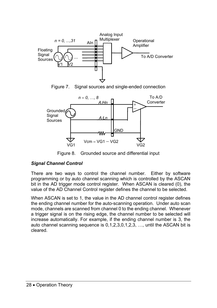

Figure 7. Signal sources and single-ended connection



Figure 8. Grounded source and differential input

## *Signal Channel Control*

There are two ways to control the channel number. Either by software programming or by auto channel scanning which is controlled by the ASCAN bit in the AD trigger mode control register. When ASCAN is cleared (0), the value of the AD Channel Control register defines the channel to be selected.

When ASCAN is set to 1, the value in the AD channel control register defines the ending channel number for the auto-scanning operation. Under auto scan mode, channels are scanned from channel 0 to the ending channel. Whenever a trigger signal is on the rising edge, the channel number to be selected will increase automatically. For example, if the ending channel number is 3, the auto channel scanning sequence is 0,1,2,3,0,1,2,3, …, until the ASCAN bit is cleared.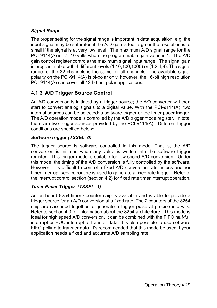## *Signal Range*

The proper setting for the signal range is important in data acquisition. e.g. the input signal may be saturated if the A/D gain is too large or the resolution is to small if the signal is at very low level. The maximum A/D signal range for the PCI-9114(A) is +/− 10 volts when the programmable gain value is 1. The A/D gain control register controls the maximum signal input range. The signal gain is programmable with 4 different levels (1,10,100,1000) or (1,2,4,8). The signal range for the 32 channels is the same for all channels. The available signal polarity on the PCI-9114(A) is bi-polar only, however, the 16-bit high resolution PCI-9114(A) can cover all 12-bit uni-polar applications.

## **4.1.3 A/D Trigger Source Control**

An A⁄D conversion is initiated by a trigger source; the A⁄D converter will then start to convert analog signals to a digital value. With the PCI-9114(A), two internal sources can be selected: a software trigger or the timer pacer trigger. The A/D operation mode is controlled by the A/D trigger mode register. In total there are two trigger sources provided by the PCI-9114(A). Different trigger conditions are specified below:

## *Software trigger (TSSEL=0)*

The trigger source is software controlled in this mode. That is, the A/D conversion is initiated when any value is written into the software trigger register. This trigger mode is suitable for low speed A/D conversion. Under this mode, the timing of the A/D conversion is fully controlled by the software. However, it is difficult to control a fixed A/D conversion rate unless another timer interrupt service routine is used to generate a fixed rate trigger. Refer to the interrupt control section (section 4.2) for fixed rate timer interrupt operation.

## *Timer Pacer Trigger (TSSEL=1)*

An on-board 8254-timer ⁄ counter chip is available and is able to provide a trigger source for an A/D conversion at a fixed rate. The 2 counters of the 8254 chip are cascaded together to generate a trigger pulse at precise intervals. Refer to section 4.3 for information about the 8254 architecture. This mode is ideal for high speed A/D conversion. It can be combined with the FIFO half-full interrupt or EOC interrupt to transfer data. It is also possible to use software FIFO polling to transfer data. It's recommended that this mode be used if your application needs a fixed and accurate A/D sampling rate.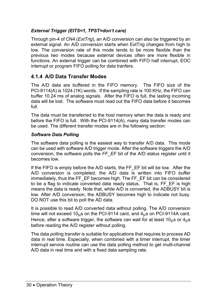## *External Trigger (EITS=1, TPST=don't care)*

Through pin-4 of CN4 (*ExtTrig*), an A/D conversion can also be triggered by an external signal. An A/D conversion starts when ExtTrig changes from high to low. The conversion rate of this mode tends to be more flexible than the previous two modes because external devices often are more flexible in functions. An external trigger can be combined with FIFO half interrupt, EOC interrupt or program FIFO polling for data tranfers.

## **4.1.4 A/D Data Transfer Modes**

The A/D data are buffered in the FIFO memory. The FIFO size of the PCI-9114(A) is 1024 (1K) words. If the sampling rate is 100 KHz, the FIFO can buffer 10.24 ms of analog signals. After the FIFO is full, the lasting incoming data will be lost. The software must read out the FIFO data before it becomes full.

The data must be transferred to the host memory when the data is ready and before the FIFO is full. With the PCI-9114(A), many data transfer modes can be used. The different transfer modes are in the following section:

## *Software Data Polling*

The software data polling is the easiest way to transfer A/D data. This mode can be used with software A/D trigger mode. After the software triggers the A/D conversion, the software polls the *FF\_EF* bit of the A/D status register until it becomes low.

If the FIFO is empty before the A/D starts, the FF EF bit will be low. After the A/D conversion is completed, the A/D data is written into FIFO buffer immediately, thus the FF\_EF becomes high. The FF\_EF bit can be considered to be a flag to indicate converted data ready status. That is, FF\_EF is high means the data is ready. Note that, while A/D is converted, the ADBUSY bit is low. After A/D conversion, the ADBUSY becomes high to indicate not busy. DO NOT use this bit to poll the AD data.

It is possible to read A/D converted data without polling. The A/D conversion time will not exceed  $10_{\text{H}}$ s on the PCI-9114 card, and  $4_{\text{H}}$ s on PCI-9114A card. Hence, after a software trigger, the software can wait for at least  $10<sub>u</sub>$ s or  $4<sub>u</sub>$ s before reading the A/D register without polling.

The data polling transfer is suitable for applications that requires to process AD data in real time. Especially, when combined with a timer interrupt, the timer interrupt service routine can use the data polling method to get multi-channel A/D data in real time and with a fixed data sampling rate.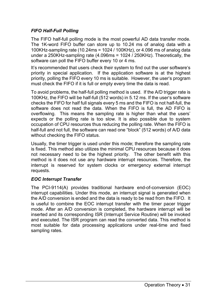## *FIFO Half-Full Polling*

The FIFO half-full polling mode is the most powerful AD data transfer mode. The 1K-word FIFO buffer can store up to 10.24 ms of analog data with a 100KHz-sampling rate (10.24ms = 1024 / 100KHz), or 4.096 ms of analog data under a 250KHz-sampling rate (4.096ms = 1024 / 250KHz). Theoretically, the software can poll the FIFO buffer every 10 or 4 ms.

It's recommended that users check their system to find out the user software's priority in special application. If the application software is at the highest priority, polling the FIFO every 10 ms is suitable. However, the user's program must check the FIFO if it is full or empty every time the data is read.

To avoid problems, the half-full polling method is used. If the A/D trigger rate is 100KHz, the FIFO will be half-full (512 words) in 5.12 ms. If the user's software checks the FIFO for half full signals every 5 ms and the FIFO is not half-full, the software does not read the data. When the FIFO is full, the AD FIFO is overflowing. This means the sampling rate is higher than what the users' expects or the polling rate is too slow. It is also possible due to system occupation of CPU resources thus reducing the polling rate. When the FIFO is half-full and not full, the software can read one "block" (512 words) of A/D data without checking the FIFO status.

Usually, the timer trigger is used under this mode; therefore the sampling rate is fixed. This method also utilizes the minimal CPU resources because it does not necessary need to be the highest priority. The other benefit with this method is it does not use any hardware interrupt resources. Therefore, the interrupt is reserved for system clocks or emergency external interrupt requests.

## *EOC Interrupt Transfer*

The PCI-9114(A) provides traditional hardware end-of-conversion (EOC) interrupt capabilities. Under this mode, an interrupt signal is generated when the A/D conversion is ended and the data is ready to be read from the FIFO. It is useful to combine the EOC interrupt transfer with the timer pacer trigger mode. After an A/D conversion is completed, the hardware interrupt will be inserted and its corresponding ISR (Interrupt Service Routine) will be invoked and executed. The ISR program can read the converted data. This method is most suitable for data processing applications under real-time and fixed sampling rates.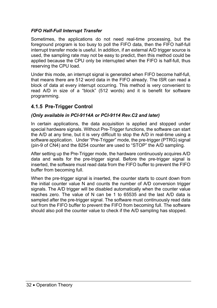## *FIFO Half-Full Interrupt Transfer*

Sometimes, the applications do not need real-time processing, but the foreground program is too busy to poll the FIFO data, then the FIFO half-full interrupt transfer mode is useful. In addition, if an external A/D trigger source is used, the sampling rate may not be easy to predict, then this method could be applied because the CPU only be interrupted when the FIFO is half-full, thus reserving the CPU load.

Under this mode, an interrupt signal is generated when FIFO become half-full, that means there are 512 word data in the FIFO already. The ISR can read a block of data at every interrupt occurring. This method is very convenient to read A/D in size of a "block" (512 words) and it is benefit for software programming.

## **4.1.5 Pre-Trigger Control**

#### *(Only available in PCI-9114A or PCI-9114 Rev.C2 and later)*

In certain applications, the data acquisition is applied and stopped under special hardware signals. Without Pre-Trigger functions, the software can start the A/D at any time, but it is very difficult to stop the A/D in real-time using a software application. Under "Pre-Trigger" mode, the pre-trigger (PTRG) signal (pin-9 of CN4) and the 8254 counter are used to "STOP" the A/D sampling.

After setting up the Pre-Trigger mode, the hardware continuously acquires A/D data and waits for the pre-trigger signal. Before the pre-trigger signal is inserted, the software must read data from the FIFO buffer to prevent the FIFO buffer from becoming full.

When the pre-trigger signal is inserted, the counter starts to count down from the initial counter value N and counts the number of A/D conversion trigger signals. The A/D trigger will be disabled automatically when the counter value reaches zero. The value of N can be 1 to 65535 and the last A/D data is sampled after the pre-trigger signal. The software must continuously read data out from the FIFO buffer to prevent the FIFO from becoming full. The software should also poll the counter value to check if the A/D sampling has stopped.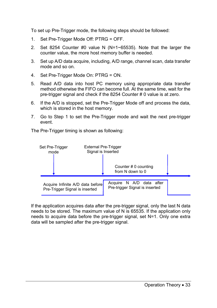To set up Pre-Trigger mode, the following steps should be followed:

- 1. Set Pre-Trigger Mode Off: PTRG = OFF.
- 2. Set 8254 Counter #0 value N (N=1~65535). Note that the larger the counter value, the more host memory buffer is needed.
- 3. Set up A/D data acquire, including, A/D range, channel scan, data transfer mode and so on.
- 4. Set Pre-Trigger Mode On: PTRG = ON.
- 5. Read A/D data into host PC memory using appropriate data transfer method otherwise the FIFO can become full. At the same time, wait for the pre-trigger signal and check if the 8254 Counter # 0 value is at zero.
- 6. If the A/D is stopped, set the Pre-Trigger Mode off and process the data, which is stored in the host memory.
- 7. Go to Step 1 to set the Pre-Trigger mode and wait the next pre-trigger event.

The Pre-Trigger timing is shown as following:



If the application acquires data after the pre-trigger signal, only the last N data needs to be stored. The maximum value of N is 65535. If the application only needs to acquire data before the pre-trigger signal, set N=1. Only one extra data will be sampled after the pre-trigger signal.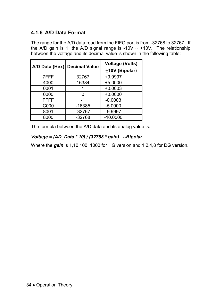## **4.1.6 A/D Data Format**

The range for the A/D data read from the FIFO port is from -32768 to 32767. If the A/D gain is 1, the A/D signal range is -10V  $\sim$  +10V. The relationship between the voltage and its decimal value is shown in the following table:

|      | A/D Data (Hex) Decimal Value | <b>Voltage (Volts)</b> |
|------|------------------------------|------------------------|
|      |                              | ±10V (Bipolar)         |
| 7FFF | 32767                        | $+9.9997$              |
| 4000 | 16384                        | $+5.0000$              |
| 0001 |                              | $+0.0003$              |
| 0000 |                              | $+0.0000$              |
| FFFF | -1                           | $-0.0003$              |
| C000 | $-16385$                     | $-5.0000$              |
| 8001 | $-32767$                     | $-9.9997$              |
| 8000 | $-32768$                     | $-10.0000$             |

The formula between the A/D data and its analog value is:

## *Voltage = (AD\_Data \* 10) / (32768 \* gain) --Bipolar*

Where the *gain* is 1,10,100, 1000 for HG version and 1,2,4,8 for DG version.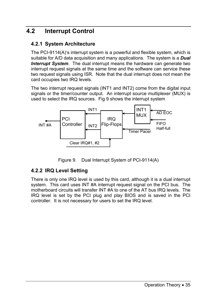## **4.2 Interrupt Control**

## **4.2.1 System Architecture**

The PCI-9114(A)'s interrupt system is a powerful and flexible system, which is suitable for A/D data acquisition and many applications. The system is a *Dual Interrupt System*. The dual interrupt means the hardware can generate two interrupt request signals at the same time and the software can service these two request signals using ISR. Note that the dual interrupt does not mean the card occupies two IRQ levels.

The two interrupt request signals (INT1 and INT2) come from the digital input signals or the timer/counter output. An interrupt source multiplexer (MUX) is used to select the IRQ sources. Fig 9 shows the interrupt system



Figure 9. Dual Interrupt System of PCI-9114(A)

## **4.2.2 IRQ Level Setting**

There is only one IRQ level is used by this card, although it is a dual interrupt system. This card uses INT #A interrupt request signal on the PCI bus. The motherboard circuits will transfer INT #A to one of the AT bus IRQ levels. The IRQ level is set by the PCI plug and play BIOS and is saved in the PCI controller. It is not necessary for users to set the IRQ level.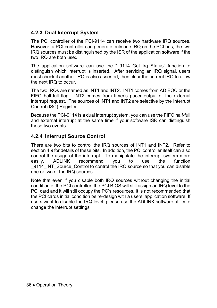## **4.2.3 Dual Interrupt System**

The PCI controller of the PCI-9114 can receive two hardware IRQ sources. However, a PCI controller can generate only one IRQ on the PCI bus, the two IRQ sources must be distinguished by the ISR of the application software if the two IRQ are both used.

The application software can use the " 9114 Get Irq Status" function to distinguish which interrupt is inserted. After servicing an IRQ signal, users must check if another IRQ is also asserted, then clear the current IRQ to allow the next IRQ to occur.

The two IRQs are named as INT1 and INT2. INT1 comes from AD EOC or the FIFO half-full flag. INT2 comes from timer's pacer output or the external interrupt request. The sources of INT1 and INT2 are selective by the Interrupt Control (ISC) Register.

Because the PCI-9114 is a dual interrupt system, you can use the FIFO half-full and external interrupt at the same time if your software ISR can distinguish these two events.

## **4.2.4 Interrupt Source Control**

There are two bits to control the IRQ sources of INT1 and INT2. Refer to section 4.9 for details of these bits. In addition, the PCI controller itself can also control the usage of the interrupt. To manipulate the interrupt system more easily, ADLINK recommend you to use the function 9114 INT Source Control to control the IRQ source so that you can disable one or two of the IRQ sources.

Note that even if you disable both IRQ sources without changing the initial condition of the PCI controller, the PCI BIOS will still assign an IRQ level to the PCI card and it will still occupy the PC's resources. It is not recommended that the PCI cards initial condition be re-design with a users' application software. If users want to disable the IRQ level, please use the ADLINK software utility to change the interrupt settings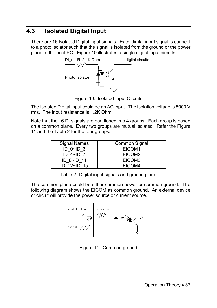## **4.3 Isolated Digital Input**

There are 16 Isolated Digital input signals. Each digital input signal is connect to a photo isolator such that the signal is isolated from the ground or the power plane of the host PC. Figure 10 illustrates a single digital input circuits.



Figure 10. Isolated Input Circuits

The Isolated Digital input could be an AC input. The isolation voltage is 5000 V rms. The input resistance is 1.2K Ohm.

Note that the 16 DI signals are partitioned into 4 groups. Each group is based on a common plane. Every two groups are mutual isolated. Refer the Figure 11 and the Table 2 for the four groups.

| <b>Signal Names</b> | Common Signal |
|---------------------|---------------|
| ID $0\neg D$ 3      | EICOM1        |
| ID $4\neg$ ID 7     | EICOM2        |
| ID 8~ID 11          | EICOM3        |
| $ID$ 12~ID 15       | FICOM4        |

Table 2: Digital input signals and ground plane

The common plane could be either common power or common ground. The following diagram shows the EICOM as common ground. An external device or circuit will provide the power source or current source.



Figure 11. Common ground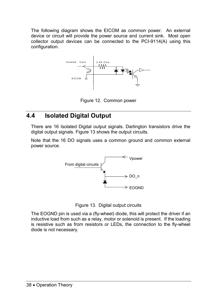The following diagram shows the EICOM as common power. An external device or circuit will provide the power source and current sink. Most open collector output devices can be connected to the PCI-9114(A) using this configuration.



Figure 12. Common power

## **4.4 Isolated Digital Output**

There are 16 Isolated Digital output signals. Darlington transistors drive the digital output signals. Figure 13 shows the output circuits.

Note that the 16 DO signals uses a common ground and common external power source.



Figure 13. Digital output circuits

The EOGND pin is used via a (fly-wheel) diode, this will protect the driver if an inductive load from such as a relay, motor or solenoid is present. If the loading is resistive such as from resistors or LEDs, the connection to the fly-wheel diode is not necessary.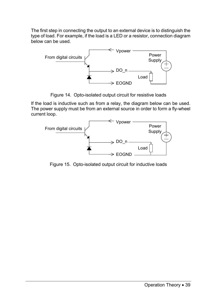The first step in connecting the output to an external device is to distinguish the type of load. For example, if the load is a LED or a resistor, connection diagram below can be used.



Figure 14. Opto-isolated output circuit for resistive loads

If the load is inductive such as from a relay, the diagram below can be used. The power supply must be from an external source in order to form a fly-wheel current loop.



Figure 15. Opto-isolated output circuit for inductive loads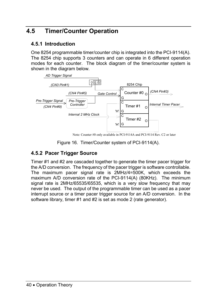## **4.5 Timer/Counter Operation**

## **4.5.1 Introduction**

One 8254 programmable timer/counter chip is integrated into the PCI-9114(A). The 8254 chip supports 3 counters and can operate in 6 different operation modes for each counter. The block diagram of the timer/counter system is shown in the diagram below.



Figure 16. Timer/Counter system of PCI-9114(A).

## **4.5.2 Pacer Trigger Source**

Timer #1 and #2 are cascaded together to generate the timer pacer trigger for the A/D conversion. The frequency of the pacer trigger is software controllable. The maximum pacer signal rate is 2MHz/4=500K, which exceeds the maximum A/D conversion rate of the PCI-9114(A) (80KHz). The minimum signal rate is 2MHz/65535/65535, which is a very slow frequency that may never be used. The output of the programmable timer can be used as a pacer interrupt source or a timer pacer trigger source for an A/D conversion. In the software library, timer #1 and #2 is set as mode 2 (rate generator).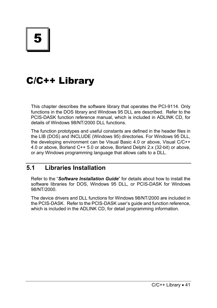# C/C++ Library

This chapter describes the software library that operates the PCI-9114. Only functions in the DOS library and Windows 95 DLL are described. Refer to the PCIS-DASK function reference manual, which is included in ADLINK CD, for details of Windows 98/NT/2000 DLL functions.

The function prototypes and useful constants are defined in the header files in the LIB (DOS) and INCLUDE (Windows 95) directories. For Windows 95 DLL, the developing environment can be Visual Basic 4.0 or above, Visual C/C++ 4.0 or above, Borland C++ 5.0 or above, Borland Delphi 2.x (32-bit) or above, or any Windows programming language that allows calls to a DLL.

## **5.1 Libraries Installation**

Refer to the "*Software Installation Guide*" for details about how to install the software libraries for DOS, Windows 95 DLL, or PCIS-DASK for Windows 98/NT/2000.

The device drivers and DLL functions for Windows 98/NT/2000 are included in the PCIS-DASK. Refer to the PCIS-DASK user's guide and function reference, which is included in the ADLINK CD, for detail programming information.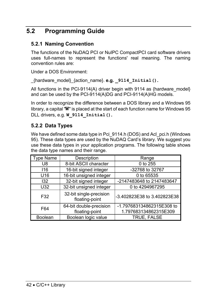## **5.2 Programming Guide**

## **5.2.1 Naming Convention**

The functions of the NuDAQ PCI or NuIPC CompactPCI card software drivers uses full-names to represent the functions' real meaning. The naming convention rules are:

Under a DOS Environment:

\_{hardware\_model}\_{action\_name}. **e.g. \_9114\_Initial().** 

All functions in the PCI-9114(A) driver begin with 9114 as {hardware\_model} and can be used by the PCI-9114(A)DG and PCI-9114(A)HG models.

In order to recognize the difference between a DOS library and a Windows 95 library, a capital "**W**" is placed at the start of each function name for Windows 95 DLL drivers, e.g. **W\_9114\_Initial().**

## **5.2.2 Data Types**

We have defined some data type in Pci 9114.h (DOS) and Acl pci.h (Windows 95). These data types are used by the NuDAQ Card's library. We suggest you use these data types in your application programs. The following table shows the data type names and their range.

| <b>Type Name</b> | Description                               | Range                                              |
|------------------|-------------------------------------------|----------------------------------------------------|
| U8               | 8-bit ASCII character                     | 0 to 255                                           |
| 116              | 16-bit signed integer                     | -32768 to 32767                                    |
| U16              | 16-bit unsigned integer                   | 0 to 65535                                         |
| 132              | 32-bit signed integer                     | -2147483648 to 2147483647                          |
| U32              | 32-bit unsigned integer                   | 0 to 4294967295                                    |
| F32              | 32-bit single-precision<br>floating-point | -3.402823E38 to 3.402823E38                        |
| F64              | 64-bit double-precision<br>floating-point | -1.797683134862315E308 to<br>1.797683134862315E309 |
| <b>Boolean</b>   | Boolean logic value                       | <b>TRUE, FALSE</b>                                 |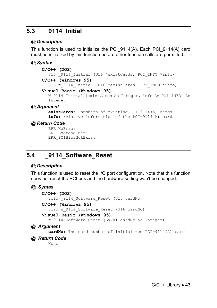## **5.3 \_9114\_Initial**

## *@ Description*

This function is used to initialize the PCI  $9114(A)$ . Each PCI  $9114(A)$  card must be initialized by this function before other function calls are permitted.

## *@ Syntax*

```
C/C++ (DOS) 
       U16 9114 Initial (U16 *existCards, PCI INFO *info)
    C/C++ (Windows 95) 
       U16 W 9114 Initial (U16 *existCards, PCI INFO *info)
    Visual Basic (Windows 95) 
       W 9114 Initial (existCards As Integer, info As PCI INFO) As
       Integer 
@ Argument
```
**existCards**: numbers of existing PCI-9114(A) cards **info**: relative information of the PCI-9114(A) cards

## *@ Return Code*

```
ERR_NoError 
ERR_BoardNoInit 
ERR_PCIBiosNotExist
```
## **5.4 \_9114\_Software\_Reset**

## *@ Description*

This function is used to reset the I/O port configuration. Note that this function does not reset the PCI bus and the hardware setting won't be changed.

## *@ Syntax*

```
C/C++ (DOS) 
  void _9114_Software_Reset (U16 cardNo) 
C/C++ (Windows 95) 
  void W_9114_Software_Reset (U16 cardNo) 
Visual Basic (Windows 95) 
  W 9114 Software Reset (ByVal cardNo As Integer)
```
#### *@ Argument*

**cardNo**: The card number of initialized PCI-9114(A) card

#### *@ Return Code*

None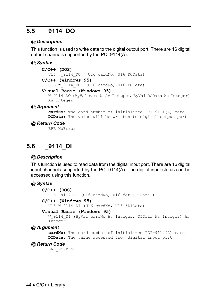## **5.5 \_9114\_DO**

## *@ Description*

This function is used to write data to the digital output port. There are 16 digital output channels supported by the PCI-9114(A).

## *@ Syntax*

```
C/C++ (DOS) 
  U16 9114 DO (U16 cardNo, U16 DOData);
C/C++ (Windows 95) 
  U16 W 9114 DO (U16 cardNo, U16 DOData)
Visual Basic (Windows 95) 
  W 9114 DO (ByVal cardNo As Integer, ByVal DOData As Integer)
  As Integer
```
#### *@ Argument*

**cardNo**: The card number of initialized PCI-9114(A) card **DOData**: The value will be written to digital output port

#### *@ Return Code*

ERR\_NoError

## **5.6 \_9114\_DI**

## *@ Description*

This function is used to read data from the digital input port. There are 16 digital input channels supported by the PCI-9114(A). The digital input status can be accessed using this function.

## *@ Syntax*

```
C/C++ (DOS) 
  U16 _9114_DI (U16 cardNo, U16 far *DIData ) 
C/C++ (Windows 95) 
  U16 W 9114 DI (U16 cardNo, U16 *DIData)
```
#### **Visual Basic (Windows 95)**

W 9114 DI (ByVal cardNo As Integer, DIData As Integer) As Integer

#### *@ Argument*

```
cardNo: The card number of initialized PCI-9114(A) card 
DIData: The value accessed from digital input port
```
## *@ Return Code*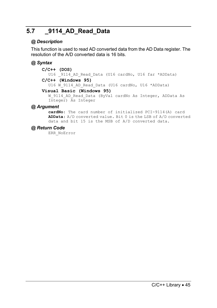## **5.7 \_9114\_AD\_Read\_Data**

## *@ Description*

This function is used to read AD converted data from the AD Data register. The resolution of the A/D converted data is 16 bits.

## *@ Syntax*

#### **C/C++ (DOS)**

U16 9114 AD Read Data (U16 cardNo, U16 far \*ADData)

#### **C/C++ (Windows 95)**

U16 W 9114 AD Read Data (U16 cardNo, U16 \*ADData)

#### **Visual Basic (Windows 95)**

W 9114 AD Read Data (ByVal cardNo As Integer, ADData As Integer) As Integer

#### *@ Argument*

**cardNo**: The card number of initialized PCI-9114(A) card **ADData**: A/D converted value. Bit 0 is the LSB of A/D converted data and bit 15 is the MSB of A/D converted data.

#### *@ Return Code*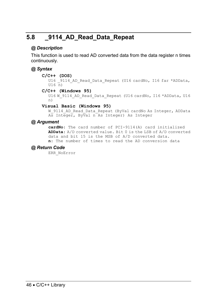## **5.8 \_9114\_AD\_Read\_Data\_Repeat**

### *@ Description*

This function is used to read AD converted data from the data register n times continuously.

## *@ Syntax*

#### **C/C++ (DOS)**

U16 9114 AD Read Data Repeat (U16 cardNo, I16 far \*ADData,  $U16 \overline{n}$ 

#### **C/C++ (Windows 95)**

```
U16 W 9114 AD Read Data Repeat (U16 cardNo, I16 *ADData, U16
n)
```
#### **Visual Basic (Windows 95)**

W\_9114\_AD\_Read\_Data\_Repeat (ByVal cardNo As Integer, ADData As Integer, ByVal n As Integer) As Integer

#### *@ Argument*

**cardNo**: The card number of PCI-9114(A) card initialized **ADData**: A/D converted value. Bit 0 is the LSB of A/D converted data and bit 15 is the MSB of A/D converted data. **n**: The number of times to read the AD conversion data

#### *@ Return Code*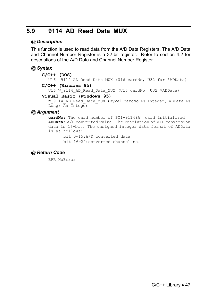## **5.9 \_9114\_AD\_Read\_Data\_MUX**

### *@ Description*

This function is used to read data from the A/D Data Registers. The A/D Data and Channel Number Register is a 32-bit register. Refer to section 4.2 for descriptions of the A/D Data and Channel Number Register.

#### *@ Syntax*

```
C/C++ (DOS)
```
U16 \_9114\_AD\_Read\_Data\_MUX (U16 cardNo, U32 far \*ADData) **C/C++ (Windows 95)** 

U16 W 9114 AD Read Data MUX (U16 cardNo, U32 \*ADData)

#### **Visual Basic (Windows 95)**

W\_9114\_AD\_Read\_Data\_MUX (ByVal cardNo As Integer, ADData As Long) As Integer

## *@ Argument*

**cardNo**: The card number of PCI-9114(A) card initialized **ADData**: A/D converted value. The resolution of A/D conversion data is 16-bit. The unsigned integer data format of ADData is as follows:

bit 0∼15: A/D converted data

bit 16∼20: converted channel no.

## *@ Return Code*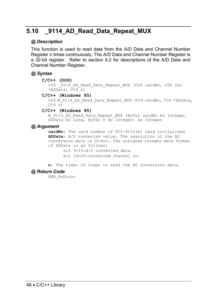## **5.10 \_9114\_AD\_Read\_Data\_Repeat\_MUX**

#### *@ Description*

This function is used to read data from the A/D Data and Channel Number Register n times continuously. The A/D Data and Channel Number Register is a 32-bit register. Refer to section 4.2 for descriptions of the A/D Data and Channel Number Register.

#### *@ Syntax*

#### **C/C++ (DOS)**

U16 9114 AD Read Data Repeat MUX (U16 cardNo, U32 far \*ADData,  $\overline{U}16$ n)

#### **C/C++ (Windows 95)**

U16 W 9114 AD Read Data Repeat MUX (U16 cardNo, U32 \*ADData,  $U16 \overline{n}$ 

#### **C/C++ (Windows 95)**

W 9114 AD Read Data Repeat MUX (ByVal cardNo As Integer, ADData As Long, ByVal n As Integer) As Integer

#### *@ Argument*

**cardNo**: The card number of PCI-9114(A) card initialized **ADData**: A/D converted value. The resolution of the AD conversion data is 16-bit. The unsigned integer data format of ADData is as follows:

> bit 0∼15: A/D converted data bit 16∼20: converted channel no.

**n**: The timer of times to read the AD conversion data.

#### *@ Return Code*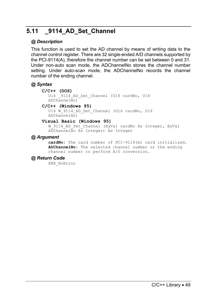## **5.11 \_9114\_AD\_Set\_Channel**

## *@ Description*

This function is used to set the AD channel by means of writing data to the channel control register. There are 32 single-ended A/D channels supported by the PCI-9114(A), therefore the channel number can be set between 0 and 31. Under non-auto scan mode, the ADChannelNo stores the channel number setting. Under auto-scan mode, the ADChannelNo records the channel number of the ending channel.

## *@ Syntax*

#### **C/C++ (DOS)**

U16 9114 AD Set Channel (U16 cardNo, U16  $ADChanne1\overline{N}$ o)

#### **C/C++ (Windows 95)**

U16 W 9114 AD Set Channel (U16 cardNo, U16 ADChannelNo)

#### **Visual Basic (Windows 95)**

W 9114 AD Set Channel (ByVal cardNo As Integer, ByVal ADChannelNo As Integer) As Integer

#### *@ Argument*

**cardNo**: The card number of PCI-9114(A) card initialized. **ADChannelNo**: The selected channel number or the ending channel number to perform A/D conversion.

#### *@ Return Code*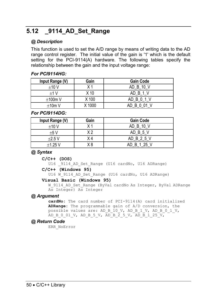## **5.12 \_9114\_AD\_Set\_Range**

### *@ Description*

This function is used to set the A/D range by means of writing data to the AD range control register. The initial value of the gain is '1' which is the default setting for the PCI-9114(A) hardware. The following tables specify the relationship between the gain and the input voltage range:

#### *For PCI9114HG:*

| Input Range (V) | Gain            | <b>Gain Code</b> |
|-----------------|-----------------|------------------|
| ±10V            | X <sub>1</sub>  | AD B 10 V        |
| $+1V$           | X <sub>10</sub> | AD B 1 V         |
| ±100m V         | X 100           | AD B 0 1 V       |
| ±10m V          | X 1000          | AD B 0 01 V      |

#### *For PCI9114DG:*

| Input Range (V) | Gain           | <b>Gain Code</b> |
|-----------------|----------------|------------------|
| ±10V            | X <sub>1</sub> | AD B 10 V        |
| ±5V             | V 2            | AD B 5 V         |
| $\pm 2.5$ V     | X 4            | AD B 2 5 V       |
| $±1.25$ V       | X 8            | AD B 1 25 V      |

#### *@ Syntax*

#### **C/C++ (DOS)**

U16 9114 AD Set Range (U16 cardNo, U16 ADRange)

#### **C/C++ (Windows 95)**

U16 W 9114 AD Set Range (U16 cardNo, U16 ADRange)

#### **Visual Basic (Windows 95)**

W 9114 AD Set Range (ByVal cardNo As Integer, ByVal ADRange As Integer) As Integer

#### *@ Argument*

**cardNo:** The card number of PCI-9114(A) card initialized **ADRange:** The programmable gain of A/D conversion, the possible values are: AD\_B\_10\_V, AD\_B\_1\_V, AD\_B\_0\_1\_V, AD\_B\_0\_01\_V, AD\_B\_5\_V, AD\_B\_2\_5\_V, AD\_B\_1\_25\_V,

#### *@ Return Code*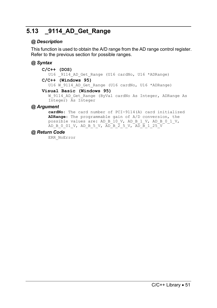## **5.13 \_9114\_AD\_Get\_Range**

## *@ Description*

This function is used to obtain the A/D range from the AD range control register. Refer to the previous section for possible ranges.

## *@ Syntax*

```
C/C++ (DOS)
```
U16 9114 AD Get Range (U16 cardNo, U16 \*ADRange)

#### **C/C++ (Windows 95)**

U16 W 9114 AD Get Range (U16 cardNo, U16 \*ADRange)

#### **Visual Basic (Windows 95)**

W 9114 AD Get Range (ByVal cardNo As Integer, ADRange As Integer) As Integer

## *@ Argument*

**cardNo**: The card number of PCI-9114(A) card initialized **ADRange**: The programmable gain of A/D conversion, the possible values are: AD\_B\_10\_V, AD\_B\_1\_V, AD\_B\_0\_1\_V, AD\_B\_0\_01\_V, AD\_B\_5\_V, AD\_B\_2\_5\_V, AD\_B\_1\_25\_V

## *@ Return Code*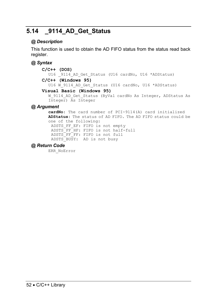## **5.14 \_9114\_AD\_Get\_Status**

## *@ Description*

This function is used to obtain the AD FIFO status from the status read back register.

## *@ Syntax*

```
C/C++ (DOS) 
  U16 9114 AD Get Status (U16 cardNo, U16 *ADStatus)
C/C++ (Windows 95) 
  U16 W 9114 AD Get Status (U16 cardNo, U16 *ADStatus)
Visual Basic (Windows 95) 
  W 9114 AD Get Status (ByVal cardNo As Integer, ADStatus As
  Integer) As Integer
```
## *@ Argument*

**cardNo**: The card number of PCI-9114(A) card initialized **ADStatus:** The status of AD FIFO. The AD FIFO status could be one of the following: ADSTS FF EF: FIFO is not empty ADSTS\_FF\_HF: FIFO is not half-full ADSTS\_FF\_FF: FIFO is not full ADSTS\_BUSY: AD is not busy

## *@ Return Code*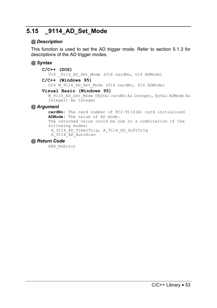## **5.15 \_9114\_AD\_Set\_Mode**

## *@ Description*

This function is used to set the AD trigger mode. Refer to section 5.1.3 for descriptions of the AD trigger modes.

## *@ Syntax*

```
C/C++ (DOS) 
       U16 9114 AD Set Mode (U16 cardNo, U16 ADMode)
    C/C++ (Windows 95) 
       U16 W 9114 AD Set Mode (U16 cardNo, U16 ADMode)
    Visual Basic (Windows 95) 
       W_9114_AD_Set_Mode (ByVal cardNo As Integer, ByVal ADMode As
       Integer) As Integer 
@ Argument 
       cardNo: The card number of PCI-9114(A) card initialized 
      ADMode: The value of AD mode.
```
#### The returned value could be one or a combination of the following modes: A\_9114\_AD\_TimerTrig, A\_9114\_AD\_SoftTrig A\_9114\_AD\_AutoScan

## *@ Return Code*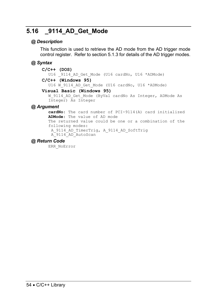## **5.16 \_9114\_AD\_Get\_Mode**

#### *@ Description*

This function is used to retrieve the AD mode from the AD trigger mode control register. Refer to section 5.1.3 for details of the AD trigger modes.

### *@ Syntax*

```
C/C++ (DOS) 
       U16 9114 AD Get Mode (U16 cardNo, U16 *ADMode)
    C/C++ (Windows 95) 
       U16 W 9114 AD Get Mode (U16 cardNo, U16 *ADMode)
    Visual Basic (Windows 95) 
       W 9114 AD Get Mode (ByVal cardNo As Integer, ADMode As
       Integer) As Integer 
@ Argument 
       cardNo: The card number of PCI-9114(A) card initialized 
      ADMode: The value of AD mode 
       The returned value could be one or a combination of the 
       following modes: 
       A_9114_AD_TimerTrig, A_9114_AD_SoftTrig 
       A_9114_AD_AutoScan
```
#### *@ Return Code*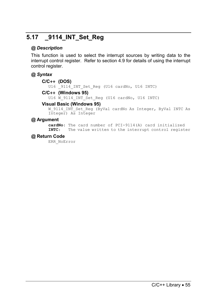## **5.17 \_9114\_INT\_Set\_Reg**

#### *@ Description*

This function is used to select the interrupt sources by writing data to the interrupt control register. Refer to section 4.9 for details of using the interrupt control register.

#### *@ Syntax*

#### **C/C++ (DOS)**

U16 9114 INT Set Reg (U16 cardNo, U16 INTC)

#### **C/C++ (Windows 95)**

U16 W 9114 INT Set Reg (U16 cardNo, U16 INTC)

#### **Visual Basic (Windows 95)**

W\_9114\_INT\_Set\_Reg (ByVal cardNo As Integer, ByVal INTC As Integer) As Integer

#### *@* **Argument**

**cardNo**: The card number of PCI-9114(A) card initialized **INTC**: The value written to the interrupt control register

#### *@* **Return Code**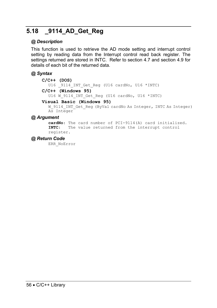## **5.18 \_9114\_AD\_Get\_Reg**

### *@ Description*

This function is used to retrieve the AD mode setting and interrupt control setting by reading data from the Interrupt control read back register. The settings returned are stored in INTC. Refer to section 4.7 and section 4.9 for details of each bit of the returned data.

### *@ Syntax*

#### **C/C++ (DOS)**

U16 9114 INT Get Reg (U16 cardNo, U16 \*INTC)

**C/C++ (Windows 95)** 

U16 W 9114 INT Get Reg (U16 cardNo, U16 \*INTC)

#### **Visual Basic (Windows 95)**

W\_9114\_INT\_Get\_Reg (ByVal cardNo As Integer, INTC As Integer) As Integer

#### *@ Argument*

**cardNo**: The card number of PCI-9114(A) card initialized. **INTC**: The value returned from the interrupt control register.

#### *@ Return Code*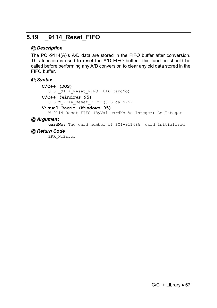## **5.19 \_9114\_Reset\_FIFO**

## *@ Description*

The PCI-9114(A)'s A/D data are stored in the FIFO buffer after conversion. This function is used to reset the A/D FIFO buffer. This function should be called before performing any A/D conversion to clear any old data stored in the FIFO buffer.

#### *@ Syntax*

```
C/C++ (DOS)
```
U16 9114 Reset FIFO (U16 cardNo)

```
C/C++ (Windows 95)
```
U16 W 9114 Reset FIFO (U16 cardNo)

#### **Visual Basic (Windows 95)**

W 9114 Reset FIFO (ByVal cardNo As Integer) As Integer

#### *@ Argument*

**cardNo**: The card number of PCI-9114(A) card initialized.

#### *@ Return Code*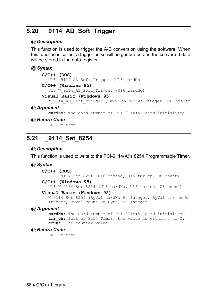## **5.20 \_9114\_AD\_Soft\_Trigger**

#### *@ Description*

This function is used to trigger the A/D conversion using the software. When this function is called, a trigger pulse will be generated and the converted data will be stored in the data register.

#### *@ Syntax*

```
C/C++ (DOS)
```
U16 9114 AD Soft Trigger (U16 cardNo)

```
C/C++ (Windows 95)
```
U16 W 9114 AD Soft Trigger (U16 cardNo)

#### **Visual Basic (Windows 95)**

W\_9114\_AD\_Soft\_Trigger (ByVal cardNo As Integer) As Integer

#### *@ Argument*

**cardNo**: The card number of PCI-9114(A) card initialized.

#### *@ Return Code*

ERR\_NoError

## **5.21 \_9114\_Set\_8254**

## *@ Description*

This function is used to write to the PCI-9114(A)'s 8254 Programmable Timer.

#### *@ Syntax*

#### **C/C++ (DOS)**

U16 9114 Set 8254 (U16 cardNo, U16 tmr ch, U8 count)

```
C/C++ (Windows 95)
```
U16 W 9114 Set 8254 (U16 cardNo, U16 tmr ch, U8 count)

#### **Visual Basic (Windows 95)**

W 9114 Set 8254 (ByVal cardNo As Integer, ByVal tmr ch As Integer, ByVal count As Byte) As Integer

#### *@ Argument*

**cardNo**: The card number of PCI-9114(A) card initialized. tmr ch: Port of 8254 Timer, the value is within 0 to 2. **count**: The counter value.

#### *@ Return Code*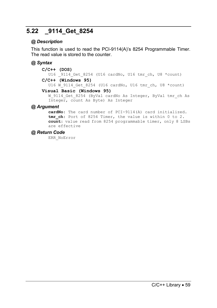## **5.22 \_9114\_Get\_8254**

## *@ Description*

This function is used to read the PCI-9114(A)'s 8254 Programmable Timer. The read value is stored to the counter.

## *@ Syntax*

#### **C/C++ (DOS)**

U16 9114 Get 8254 (U16 cardNo, U16 tmr ch, U8 \*count)

### **C/C++ (Windows 95)**

U16 W 9114 Get 8254 (U16 cardNo, U16 tmr ch, U8 \*count)

#### **Visual Basic (Windows 95)**

W 9114 Get 8254 (ByVal cardNo As Integer, ByVal tmr ch As Integer, count As Byte) As Integer

#### *@ Argument*

**cardNo**: The card number of PCI-9114(A) card initialized. tmr ch: Port of 8254 Timer, the value is within 0 to 2. **count**: value read from 8254 programmable timer, only 8 LSBs are effective

#### *@ Return Code*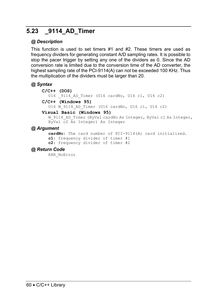## **5.23 \_9114\_AD\_Timer**

## *@ Description*

This function is used to set timers #1 and #2. These timers are used as frequency dividers for generating constant A/D sampling rates. It is possible to stop the pacer trigger by setting any one of the dividers as 0. Since the AD conversion rate is limited due to the conversion time of the AD converter, the highest sampling rate of the PCI-9114(A) can not be exceeded 100 KHz. Thus the multiplication of the dividers must be larger than 20.

#### *@ Syntax*

```
C/C++ (DOS)
```
U16 9114 AD Timer (U16 cardNo, U16 c1, U16 c2)

**C/C++ (Windows 95)** 

U16 W 9114 AD Timer (U16 cardNo, U16 c1, U16 c2)

#### **Visual Basic (Windows 95)**

W\_9114\_AD\_Timer (ByVal cardNo As Integer, ByVal c1 As Integer, ByVal c2 As Integer) As Integer

## *@ Argument*

**cardNo**: The card number of PCI-9114(A) card initialized. **c1**: frequency divider of timer #1 **c2**: frequency divider of timer #2

#### *@ Return Code*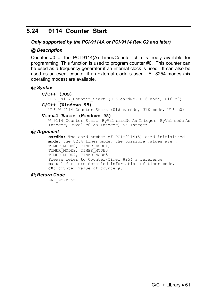## **5.24 \_9114\_Counter\_Start**

#### *Only supported by the PCI-9114A or PCI-9114 Rev.C2 and later)*

#### *@ Description*

Counter #0 of the PCI-9114(A) Timer/Counter chip is freely available for programming. This function is used to program counter #0. This counter can be used as a frequency generator if an internal clock is used. It can also be used as an event counter if an external clock is used. All 8254 modes (six operating modes) are available.

#### *@ Syntax*

#### **C/C++ (DOS)**

U16 9114 Counter Start (U16 cardNo, U16 mode, U16 c0)

#### **C/C++ (Windows 95)**

U16 W 9114 Counter Start (U16 cardNo, U16 mode, U16 c0)

#### **Visual Basic (Windows 95)**

W\_9114\_Counter\_Start (ByVal cardNo As Integer, ByVal mode As Integer, ByVal c0 As Integer) As Integer

#### *@ Argument*

**cardNo**: The card number of PCI-9114(A) card initialized. **mode**: the 8254 timer mode, the possible values are : TIMER\_MODE0, TIMER\_MODE1, TIMER\_MODE2, TIMER\_MODE3, TIMER\_MODE4, TIMER\_MODE5. Please refer to Counter/Timer 8254's reference manual for more detailed information of timer mode. **c0**: counter value of counter#0

#### *@ Return Code*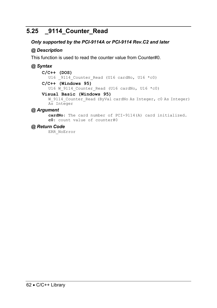## **5.25 \_9114\_Counter\_Read**

### *Only supported by the PCI-9114A or PCI-9114 Rev.C2 and later*

### *@ Description*

This function is used to read the counter value from Counter#0.

### *@ Syntax*

**C/C++ (DOS)**  U16  $9114$  Counter Read (U16 cardNo, U16 \*c0) **C/C++ (Windows 95)**  U16 W 9114 Counter Read (U16 cardNo, U16 \*c0)

#### **Visual Basic (Windows 95)**

W\_9114\_Counter\_Read (ByVal cardNo As Integer, c0 As Integer) As Integer

## *@ Argument*

**cardNo**: The card number of PCI-9114(A) card initialized. **c0**: count value of counter#0

#### *@ Return Code*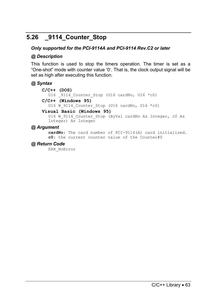## **5.26 \_9114\_Counter\_Stop**

### *Only supported for the PCI-9114A and PCI-9114 Rev.C2 or later*

### *@ Description*

This function is used to stop the timers operation. The timer is set as a "One-shot" mode with counter value ′0′. That is, the clock output signal will be set as high after executing this function.

### *@ Syntax*

**C/C++ (DOS)**  U16 9114 Counter Stop (U16 cardNo, U16 \*c0) **C/C++ (Windows 95)**  U16 W 9114 Counter Stop (U16 cardNo, U16 \*c0)

#### **Visual Basic (Windows 95)**

U16 W 9114 Counter Stop (ByVal cardNo As Integer, c0 As Integer) As Integer

### *@ Argument*

**cardNo**: The card number of PCI-9114(A) card initialized. **c0**: the current counter value of the Counter#0

### *@ Return Code*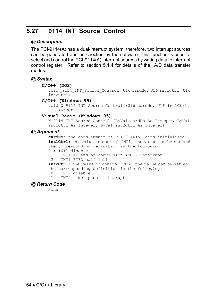## **5.27 \_9114\_INT\_Source\_Control**

### *@ Description*

The PCI-9114(A) has a dual-interrupt system, therefore, two interrupt sources can be generated and be checked by the software. This function is used to select and control the PCI-9114(A) interrupt sources by writing data to interrupt control register. Refer to section 5.1.4 for details of the A/D data transfer modes.

### *@ Syntax*

#### **C/C++ (DOS)**

```
void 9114 INT Source Control (U16 cardNo, U16 int1Ctrl, U16
int2Ctrl)
```
#### **C/C++ (Windows 95)**

void W\_9114\_INT\_Source\_Control (U16 cardNo, U16 int1Ctrl,  $U16$  int2Ctrl)

#### **Visual Basic (Windows 95)**

W 9114 INT Source Control (ByVal cardNo As Integer, ByVal int1Ctrl As Integer, ByVal int2Ctrl As Integer)

### *@ Argument*

**cardNo**: the card number of PCI-9114(A) card initialized. **int1Ctrl**: the value to control INT1, the value can be set and the corresponding definition is the following: 0 : INT1 disable

- 1 : INT1 AD end of conversion (EOC) interrupt
- 2 : INT1 FIFO half full

**int2Ctrl**: the value to control INT2, the value can be set and the corresponding definition is the following:

0 : INT2 disable

1 : INT2 timer pacer interrupt

### *@ Return Code*

None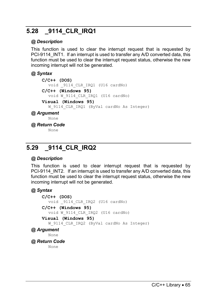## **5.28 \_9114\_CLR\_IRQ1**

### *@ Description*

This function is used to clear the interrupt request that is requested by PCI-9114 INT1. If an interrupt is used to transfer any A/D converted data, this function must be used to clear the interrupt request status, otherwise the new incoming interrupt will not be generated.

### *@ Syntax*

```
C/C++ (DOS) 
  void _9114_CLR_IRQ1 (U16 cardNo) 
C/C++ (Windows 95) 
  void W_9114_CLR_IRQ1 (U16 cardNo) 
Visual (Windows 95)
```
### W 9114 CLR IRQ1 (ByVal cardNo As Integer)

#### *@ Argument*

None

*@ Return Code* 

None

## **5.29 \_9114\_CLR\_IRQ2**

### *@ Description*

This function is used to clear interrupt request that is requested by PCI-9114 INT2. If an interrupt is used to transfer any A/D converted data, this function must be used to clear the interrupt request status, otherwise the new incoming interrupt will not be generated.

### *@ Syntax*

```
C/C++ (DOS) 
       void _9114_CLR_IRQ2 (U16 cardNo) 
    C/C++ (Windows 95) 
       void W_9114_CLR_IRQ2 (U16 cardNo) 
    Visual (Windows 95) 
       W 9114 CLR IRQ2 (ByVal cardNo As Integer)
@ Argument 
      None 
@ Return Code 
      None
```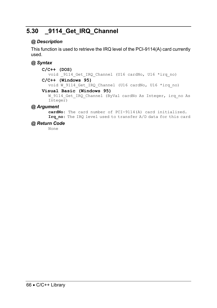## **5.30 \_9114\_Get\_IRQ\_Channel**

### *@ Description*

This function is used to retrieve the IRQ level of the PCI-9114(A) card currently used.

### *@ Syntax*

**C/C++ (DOS)**  void 9114 Get IRQ Channel (U16 cardNo, U16 \*irq no)

### **C/C++ (Windows 95)**

void W 9114 Get IRQ Channel (U16 cardNo, U16 \*irq no)

#### **Visual Basic (Windows 95)**

W\_9114\_Get\_IRQ\_Channel (ByVal cardNo As Integer, irq no As Integer)

### *@ Argument*

**cardNo**: The card number of PCI-9114(A) card initialized. **Irq\_no**: The IRQ level used to transfer A/D data for this card

### *@ Return Code*

None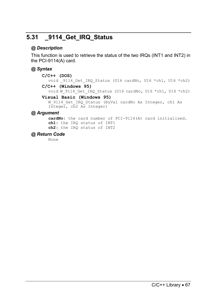## **5.31 \_9114\_Get\_IRQ\_Status**

### *@ Description*

This function is used to retrieve the status of the two IRQs (INT1 and INT2) in the PCI-9114(A) card.

### *@ Syntax*

#### **C/C++ (DOS)**

void 9114 Get IRQ Status (U16 cardNo, U16 \*ch1, U16 \*ch2) **C/C++ (Windows 95)** 

void W 9114 Get IRQ Status (U16 cardNo, U16 \*ch1, U16 \*ch2)

### **Visual Basic (Windows 95)**

W 9114 Get IRQ Status (ByVal cardNo As Integer, ch1 As Integer, ch2 As Integer)

### *@ Argument*

**cardNo**: the card number of PCI-9114(A) card initialized. **ch1**: the IRQ status of INT1 **ch2**: the IRQ status of INT2

### *@ Return Code*

None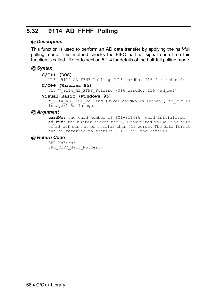## **5.32 \_9114\_AD\_FFHF\_Polling**

### *@ Description*

This function is used to perform an AD data transfer by applying the half-full polling mode. This method checks the FIFO half-full signal each time this function is called. Refer to section 5.1.4 for details of the half-full polling mode.

### *@ Syntax*

#### **C/C++ (DOS)**

U16 \_9114\_AD\_FFHF\_Polling (U16 cardNo, I16 far \*ad\_buf) **C/C++ (Windows 95)** 

U16 W 9114 AD FFHF Polling (U16 cardNo, I16 \*ad buf)

#### **Visual Basic (Windows 95)**

W\_9114\_AD\_FFHF\_Polling (ByVal cardNo As Integer, ad buf As Integer) As Integer

### *@ Argument*

**cardNo**: the card number of PCI-9114(A) card initialized. **ad buf**: the buffer stores the A/D converted value. The size of ad buf can not be smaller than 512 words. The data format can be referred to section 5.1.5 for the details.

### *@ Return Code*

ERR\_NoError ERR\_FIFO\_Half\_NotReady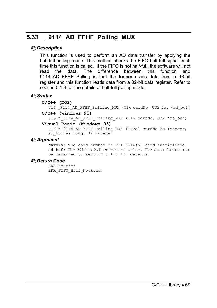## **5.33 \_9114\_AD\_FFHF\_Polling\_MUX**

### *@ Description*

This function is used to perform an AD data transfer by applying the half-full polling mode. This method checks the FIFO half full signal each time this function is called. If the FIFO is not half-full, the software will not read the data. The difference between this function and 9114 AD FFHF Polling is that the former reads data from a 16-bit register and this function reads data from a 32-bit data register. Refer to section 5.1.4 for the details of half-full polling mode.

### *@ Syntax*

**C/C++ (DOS)** 

U16 9114 AD FFHF Polling MUX (U16 cardNo, U32 far \*ad buf)

#### **C/C++ (Windows 95)**

U16 W 9114 AD FFHF Polling MUX (U16 cardNo, U32 \*ad buf)

#### **Visual Basic (Windows 95)**

U16 W 9114 AD FFHF Polling MUX (ByVal cardNo As Integer, ad buf As  $\overline{\text{Long}}$  As Integer

#### *@ Argument*

**cardNo**: The card number of PCI-9114(A) card initialized. **ad\_buf**: The 32bits A/D converted value. The data format can be referred to section 5.1.5 for details.

### *@ Return Code*

ERR\_NoError ERR\_FIFO\_Half\_NotReady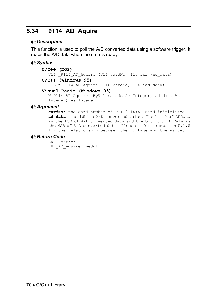## **5.34 \_9114\_AD\_Aquire**

### *@ Description*

This function is used to poll the A/D converted data using a software trigger. It reads the A/D data when the data is ready.

### *@ Syntax*

#### **C/C++ (DOS)**

U16 9114 AD Aquire (U16 cardNo, I16 far \*ad data)

#### **C/C++ (Windows 95)**

U16 W\_9114\_AD\_Aquire (U16 cardNo, I16 \*ad\_data)

#### **Visual Basic (Windows 95)**

W 9114 AD Aquire (ByVal cardNo As Integer, ad data As Integer) As Integer

#### *@ Argument*

**cardNo**: the card number of PCI-9114(A) card initialized. ad data: the 16bits A/D converted value. The bit 0 of ADData is the LSB of A/D converted data and the bit 15 of ADData is the MSB of A/D converted data. Please refer to section 5.1.5 for the relationship between the voltage and the value.

#### *@ Return Code*

ERR\_NoError ERR\_AD\_AquireTimeOut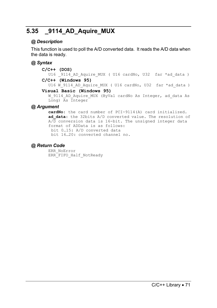## **5.35 \_9114\_AD\_Aquire\_MUX**

### *@ Description*

This function is used to poll the A/D converted data. It reads the A/D data when the data is ready.

### *@ Syntax*

```
C/C++ (DOS)
```
U16 9114 AD Aquire MUX ( U16 cardNo, U32 far \*ad data ) **C/C++ (Windows 95)** 

U16 W\_9114\_AD\_Aquire\_MUX ( U16 cardNo, U32 far \*ad\_data )

#### **Visual Basic (Windows 95)**

W 9114 AD Aquire MUX (ByVal cardNo As Integer, ad data As Long) As Integer

### *@ Argument*

**cardNo**: the card number of PCI-9114(A) card initialized. ad data: the 32bits A/D converted value. The resolution of A/D conversion data is 16-bit. The unsigned integer data format of ADData is as follows: bit 0…15: A/D converted data bit 16…20: converted channel no.

### *@ Return Code*

ERR\_NoError ERR\_FIFO\_Half\_NotReady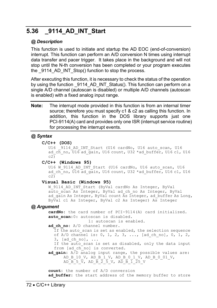## **5.36 \_9114\_AD\_INT\_Start**

### *@ Description*

This function is used to initiate and startup the AD EOC (end-of-conversion) interrupt. This function can perform an A/D conversion N times using interrupt data transfer and pacer trigger. It takes place in the background and will not stop until the N-th conversion has been completed or your program executes the 9114 AD INT Stop() function to stop the process.

After executing this function, it is necessary to check the status of the operation by using the function  $9114$  AD INT Status(). This function can perform on a single A/D channel (autoscan is disabled) or multiple A/D channels (autoscan is enabled) with a fixed analog input range.

**Note:** The interrupt mode provided in this function is from an internal timer source; therefore you must specify c1 & c2 as calling this function. In addition, this function in the DOS library supports just one PCI-9114(A) card and provides only one ISR (interrupt service routine) for processing the interrupt events.

### *@ Syntax*

```
C/C++ (DOS)
```
U16 9114 AD INT Start (U16 cardNo, U16 auto scan, U16 ad ch\_no,  $\overline{U16}$  ad gain, U16 count, U32 \*ad buffer, U16 c1, U16  $c2\overline{)}$ 

#### **C/C++ (Windows 95)**

U16 W 9114 AD INT Start (U16 cardNo, U16 auto scan, U16 ad ch\_no,  $\overline{U16}$  ad gain, U16 count, U32 \*ad buffer, U16 c1, U16  $c2\overline{)}$ 

### **Visual Basic (Windows 95)**

W\_9114\_AD\_INT\_Start (ByVal cardNo As Integer, ByVal auto scan As Integer, ByVal ad ch no As Integer, ByVal ad gain As Integer, ByVal count As Integer, ad buffer As Long, ByVal c1 As Integer, ByVal c2 As Integer) As Integer

### *@ Argument*

**cardNo:** the card number of PCI-9114(A) card initialized. auto scan: 0: autoscan is disabled.

1: autoscan is enabled.

ad ch no: A/D channel number.

If the auto scan is set as enabled, the selection sequence of A/D channel is: 0, 1, 2, 3, ..., [ad\_ch\_no], 0, 1, 2, 3, [ad\_ch\_no], ...

If the auto scan is set as disabled, only the data input from [ad ch\_no] is converted.

**ad\_gain:** A/D analog input range, the possible values are: AD\_B\_10\_V, AD\_B\_1\_V, AD\_B\_0\_1\_V, AD\_B\_0\_01\_V, AD B  $5\bar{v}$ , AD B  $\bar{2}\bar{5}$  V, AD B  $\bar{1}\bar{2}5$  V

**count:** the number of A/D conversion ad buffer: the start address of the memory buffer to store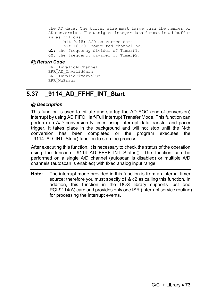the AD data. The buffer size must large than the number of AD conversion. The unsigned integer data format in ad\_buffer is as follows: bit 0…15: A/D converted data bit 16…20: converted channel no. **c1:** the frequency divider of Timer#1. **c2:** the frequency divider of Timer#2.

#### *@ Return Code*

ERR\_InvalidADChannel ERR\_AD\_InvalidGain ERR\_InvalidTimerValue ERR\_NoError

## **5.37 \_9114\_AD\_FFHF\_INT\_Start**

### *@ Description*

This function is used to initiate and startup the AD EOC (end-of-conversion) interrupt by using AD FIFO Half-Full Interrupt Transfer Mode. This function can perform an A/D conversion N times using interrupt data transfer and pacer trigger. It takes place in the background and will not stop until the N-th conversion has been completed or the program executes the 9114 AD INT Stop() function to stop the process.

After executing this function, it is necessary to check the status of the operation using the function 2114 AD FFHF INT Status(). The function can be performed on a single A/D channel (autoscan is disabled) or multiple A/D channels (autoscan is enabled) with fixed analog input range.

**Note:** The interrupt mode provided in this function is from an internal timer source; therefore you must specify c1 & c2 as calling this function. In addition, this function in the DOS library supports just one PCI-9114(A) card and provides only one ISR (interrupt service routine) for processing the interrupt events.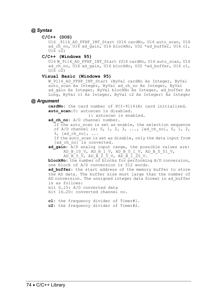#### *@ Syntax*

#### **C/C++ (DOS)**

U16 9114 AD FFHF INT Start (U16 cardNo, U16 auto scan, U16 ad  $c\bar{h}$  no, U16 ad gain, U16 blockNo, U32 \*ad buffer, U16 c1,  $U1\overline{6}$  c<sub>2</sub>)

#### **C/C++ (Windows 95)**

U16 W 9114 AD FFHF INT Start (U16 cardNo, U16 auto scan, U16 ad ch\_no,  $\overline{U16}$  ad  $\alpha\overline{a}$ in,  $\overline{U16}$  blockNo, U32 \*ad buffer, U16 c1,  $U1\overline{6}$  c $\overline{2}$ )

#### **Visual Basic (Windows 95)**

W\_9114\_AD\_FFHF\_INT\_Start (ByVal cardNo As Integer, ByVal auto scan As Integer, ByVal ad ch no As Integer, ByVal ad gain As Integer, ByVal blockNo As Integer, ad buffer As Long, ByVal c1 As Integer, ByVal c2 As Integer) As Integer

#### *@ Argument*

**cardNo**: the card number of PCI-9114(A) card initialized. **auto scan**:0: autoscan is disabled.

1: autoscan is enabled.

ad ch no: A/D channel number.

If the auto scan is set as enable, the selection sequence of A/D channel is: 0, 1, 2, 3, ..., [ad ch no], 0, 1, 2,  $3,$  [ad ch no], ...

If the auto scan is set as disable, only the data input from [ad ch\_no] is converted.

ad gain: A/D analog input range, the possible values are: AD\_B\_10\_V, AD\_B\_1\_V, AD\_B\_0\_1\_V, AD\_B\_0\_01\_V,

AD B  $5\bar{v}$ , AD B  $\bar{2}\bar{5}$  V, AD B  $\bar{1}\bar{2}5$  V.

**blockNo**: the number of blocks for performing A/D conversion, one block of A/D conversion is 512 words.

ad buffer: the start address of the memory buffer to store the AD data. The buffer size must large than the number of AD conversion. The unsigned integer data format in ad\_buffer is as follows:

bit 0…15: A/D converted data

bit 16…20: converted channel no.

**c1**: the frequency divider of Timer#1. **c2**: the frequency divider of Timer#2.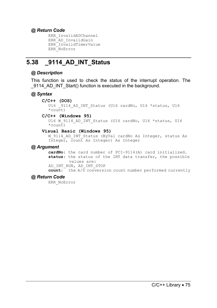### *@ Return Code*

ERR\_InvalidADChannel ERR\_AD\_InvalidGain ERR\_InvalidTimerValue ERR\_NoError

## **5.38 \_9114\_AD\_INT\_Status**

### *@ Description*

This function is used to check the status of the interrupt operation. The 9114 AD INT Start() function is executed in the background.

### *@ Syntax*

**C/C++ (DOS)** 

U16 9114 AD INT Status (U16 cardNo, U16 \*status, U16 \*count)

#### **C/C++ (Windows 95)**

U16 W 9114 AD INT Status (U16 cardNo, U16 \*status, U16  $*$ count)

#### **Visual Basic (Windows 95)**

W 9114 AD INT Status (ByVal cardNo As Integer, status As Integer, count As Integer) As Integer

### *@ Argument*

**cardNo**: the card number of PCI-9114(A) card initialized. **status**: the status of the INT data transfer, the possible values are:

AD\_INT\_RUN, AD\_INT\_STOP

**count**: the A/D conversion count number performed currently

### *@ Return Code*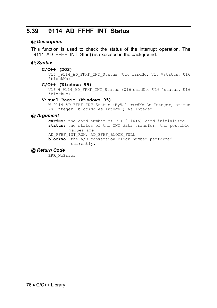## **5.39 \_9114\_AD\_FFHF\_INT\_Status**

### *@ Description*

This function is used to check the status of the interrupt operation. The 9114 AD\_FFHF\_INT\_Start() is executed in the background.

### *@ Syntax*

**C/C++ (DOS)** 

U16 9114 AD FFHF INT Status (U16 cardNo, U16 \*status, U16 \*blockNo)

#### **C/C++ (Windows 95)**

U16 W 9114 AD FFHF INT Status (U16 cardNo, U16 \*status, U16 \*blockNo)

#### **Visual Basic (Windows 95)**

W 9114 AD FFHF INT Status (ByVal cardNo As Integer, status As Integer, blockNo As Integer) As Integer

### *@ Argument*

**cardNo**: the card number of PCI-9114(A) card initialized. **status**: the status of the INT data transfer, the possible values are: AD\_FFHF\_INT\_RUN, AD\_FFHF\_BLOCK\_FULL

**blockNo**: the A/D conversion block number performed currently.

### *@ Return Code*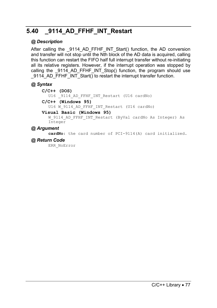## **5.40 \_9114\_AD\_FFHF\_INT\_Restart**

### *@ Description*

After calling the 9114 AD FFHF INT Start() function, the AD conversion and transfer will not stop until the Nth block of the AD data is acquired, calling this function can restart the FIFO half full interrupt transfer without re-initiating all its relative registers. However, if the interrupt operation was stopped by calling the  $9114$  AD FFHF INT Stop() function, the program should use 9114 AD\_FFHF\_INT\_Start() to restart the interrupt transfer function.

### *@ Syntax*

```
C/C++ (DOS) 
  U16 9114 AD FFHF INT Restart (U16 cardNo)
```
#### **C/C++ (Windows 95)**

U16 W 9114 AD FFHF INT Restart (U16 cardNo)

#### **Visual Basic (Windows 95)**

W\_9114\_AD\_FFHF\_INT\_Restart (ByVal cardNo As Integer) As Integer

### *@ Argument*

**cardNo**: the card number of PCI-9114(A) card initialized.

### *@ Return Code*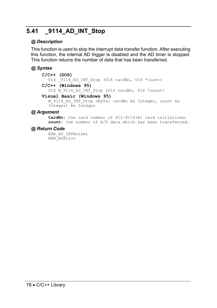## **5.41 \_9114\_AD\_INT\_Stop**

### *@ Description*

This function is used to stop the interrupt data transfer function. After executing this function, the internal AD trigger is disabled and the AD timer is stopped. This function returns the number of data that has been transferred.

### *@ Syntax*

#### **C/C++ (DOS)**  U16 \_9114\_AD\_INT\_Stop (U16 cardNo, U16 \*count) **C/C++ (Windows 95)**

U16 W 9114 AD INT Stop (U16 cardNo, U16 \*count)

#### **Visual Basic (Windows 95)**

W\_9114\_AD\_INT\_Stop (ByVal cardNo As Integer, count As Integer) As Integer

### *@ Argument*

**CardNo**: the card number of PCI-9114(A) card initialized. **count**: the number of A/D data which has been transferred.

### *@ Return Code*

ERR\_AD\_INTNotSet ERR\_NoError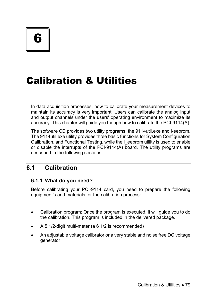# Calibration & Utilities

In data acquisition processes, how to calibrate your measurement devices to maintain its accuracy is very important. Users can calibrate the analog input and output channels under the users' operating environment to maximize its accuracy. This chapter will guide you though how to calibrate the PCI-9114(A).

The software CD provides two utility programs, the 9114util.exe and l-eeprom. The 9114util.exe utility provides three basic functions for System Configuration, Calibration, and Functional Testing, while the I eeprom utility is used to enable or disable the interrupts of the PCI-9114(A) board. The utility programs are described in the following sections.

## **6.1 Calibration**

### **6.1.1 What do you need?**

Before calibrating your PCI-9114 card, you need to prepare the following equipment's and materials for the calibration process:

- Calibration program: Once the program is executed, it will guide you to do the calibration. This program is included in the delivered package.
- A 5 1/2-digit multi-meter (a 6 1/2 is recommended)
- An adjustable voltage calibrator or a very stable and noise free DC voltage generator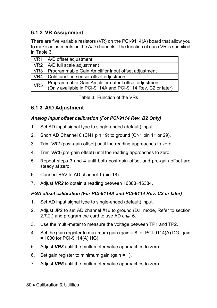## **6.1.2 VR Assignment**

There are five variable resistors (VR) on the PCI-9114(A) board that allow you to make adjustments on the A/D channels. The function of each VR is specified in Table 3.

|                 | VR1   A/D offset adjustment                                                                                         |
|-----------------|---------------------------------------------------------------------------------------------------------------------|
|                 | VR2   A/D full scale adjustment                                                                                     |
|                 | VR3   Programmable Gain Amplifier input offset adjustment                                                           |
| VR4             | Cold junction sensor offset adjustment                                                                              |
| VR <sub>5</sub> | Programmable Gain Amplifier output offset adjustment<br>(Only available in PCI-9114A and PCI-9114 Rev. C2 or later) |

Table 3: Function of the VRs

### **6.1.3 A/D Adjustment**

### *Analog input offset calibration (For PCI-9114 Rev. B2 Only)*

- 1. Set AD input signal type to single-ended (default) input.
- 2. Short AD Channel 0 (CN1 pin 19) to ground (CN1 pin 11 or 29).
- 3. Trim *VR1* (post-gain offset) until the reading approaches to zero.
- 4. Trim *VR3* (pre-gain offset) until the reading approaches to zero.
- 5. Repeat steps 3 and 4 until both post-gain offset and pre-gain offset are steady at zero.
- 6. Connect +5V to AD channel 1 (pin 18).
- 7. Adjust *VR2* to obtain a reading between 16383~16384.

### *PGA offset calibration (For PCI-9114A and PCI-9114 Rev. C2 or later)*

- 1. Set AD input signal type to single-ended (default) input.
- 2. Adjust JP2 to set AD channel #16 to ground (D.I. mode, Refer to section 2.7.2.) and program the card to use AD ch#16.
- 3. Use the multi-meter to measure the voltage between TP1 and TP2.
- 4. Set the gain register to maximum gain (gain = 8 for PCI-9114(A) DG; gain  $= 1000$  for PCI-9114(A) HG).
- 5. Adjust *VR3* until the multi-meter value approaches to zero.
- 6. Set gain register to minimum gain (gain  $= 1$ ).
- 7. Adjust *VR5* until the multi-meter value approaches to zero.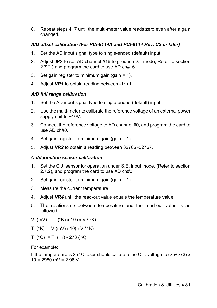8. Repeat steps 4~7 until the multi-meter value reads zero even after a gain changed.

### *A/D offset calibration (For PCI-9114A and PCI-9114 Rev. C2 or later)*

- 1. Set the AD input signal type to single-ended (default) input.
- 2. Adjust JP2 to set AD channel #16 to ground (D.I. mode, Refer to section 2.7.2.) and program the card to use AD ch#16.
- 3. Set gain register to minimum gain (gain  $= 1$ ).
- 4. Adjust *VR1* to obtain reading between -1~+1.

### *A/D full range calibration*

- 1. Set the AD input signal type to single-ended (default) input.
- 2. Use the multi-meter to calibrate the reference voltage of an external power supply unit to +10V.
- 3. Connect the reference voltage to AD channel #0, and program the card to use AD ch#0.
- 4. Set gain register to minimum gain (gain = 1).
- 5. Adjust *VR2* to obtain a reading between 32766~32767.

### *Cold junction sensor calibration*

- 1. Set the C.J. sensor for operation under S.E. input mode. (Refer to section 2.7.2), and program the card to use AD ch#0.
- 2. Set gain register to minimum gain (gain  $= 1$ ).
- 3. Measure the current temperature.
- 4. Adjust *VR4* until the read-out value equals the temperature value.
- 5. The relationship between temperature and the read-out value is as followed:
- V (mV) = T ( $\degree$ K) x 10 (mV / $\degree$ K)
- T ( $\degree$ K) = V (mV) / 10(mV /  $\degree$ K)
- $T$  (°C) = T (°K) 273 (°K)

For example:

If the temperature is 25 °C, user should calibrate the C.J. voltage to  $(25+273)$  x  $10 = 2980$  mV = 2.98 V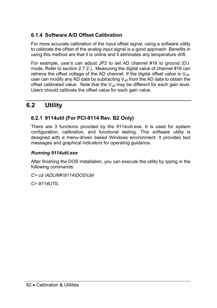### **6.1.4 Software A/D Offset Calibration**

For more accurate calibration of the input offset signal, using a software utility to calibrate the offset of the analog input signal is a good approach. Benefits in using this method are that it is online and it eliminates any temperature drift.

For example, user's can adjust JP2 to set AD channel #16 to ground (D.I. mode, Refer to section 2.7.2.). Measuring the digital value of channel #16 can retrieve the offset voltage of the AD channel. If the digital offset value is  $V_{\text{off}}$ , user can modify any AD data by subtracting  $V_{\text{off}}$  from the AD data to obtain the offset calibrated value. Note that the  $V_{\text{off}}$  may be different for each gain level. Users should calibrate the offset value for each gain value.

## **6.2 Utility**

### **6.2.1 9114util (For PCI-9114 Rev. B2 Only)**

There are 3 functions provided by the 9114util.exe. It is used for system configuration, calibration, and functional testing. This software utility is designed with a menu-driven based Windows environment. It provides text messages and graphical indicators for operating guidance.

### *Running 9114util.exe*

After finishing the DOS installation, you can execute the utility by typing in the following commands:

*C> cd \ADLINK\9114\DOS\Util* 

*C> 9114UTIL*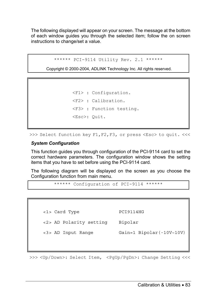The following displayed will appear on your screen. The message at the bottom of each window guides you through the selected item; follow the on screen instructions to change/set a value.

```
****** PCI-9114 Utility Rev. 2.1 ******
```
Copyright © 2000-2004, ADLINK Technology Inc. All rights reserved

```
<F1> : Configuration. 
<F2> : Calibration. 
<F3> : Function testing. 
<Esc>: Quit.
```
>>> Select function key F1, F2, F3, or press <Esc> to quit. <<<

#### *System Configuration*

This function guides you through configuration of the PCI-9114 card to set the correct hardware parameters. The configuration window shows the setting items that you have to set before using the PCI-9114 card.

The following diagram will be displayed on the screen as you choose the Configuration function from main menu.

```
****** Configuration of PCI-9114 ******
```
<1> Card Type PCI9114HG <2> AD Polarity setting Bipolar <3> AD Input Range Gain=1 Bipolar(-10V~10V)

>>> <Up/Down>: Select Item, <PgUp/PgDn>: Change Setting <<<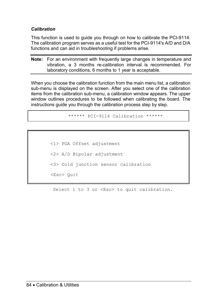### *Calibration*

This function is used to guide you through on how to calibrate the PCI-9114. The calibration program serves as a useful test for the PCI-9114's A/D and D/A functions and can aid in troubleshooting if problems arise.

**Note:** For an environment with frequently large changes in temperature and vibration, a 3 months re-calibration interval is recommended. For laboratory conditions, 6 months to 1 year is acceptable.

When you choose the calibration function from the main menu list, a calibration sub-menu is displayed on the screen. After you select one of the calibration items from the calibration sub-menu, a calibration window appears. The upper window outlines procedures to be followed when calibrating the board. The instructions guide you through the calibration process step by step.

\*\*\*\*\*\* PCI-9114 Calibration \*\*\*\*\*\*

<1> PGA Offset adjustment <2> A/D Bipolar adjustment <3> Cold junction sensor calibration <Esc> Quit

Select 1 to 3 or <Esc> to quit calibration.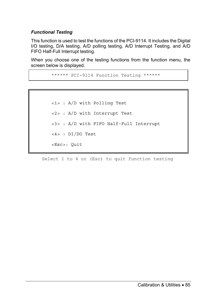### *Functional Testing*

This function is used to test the functions of the PCI-9114. It includes the Digital I/O testing, D/A testing, A/D polling testing, A/D Interrupt Testing, and A/D FIFO Half-Full Interrupt testing.

When you choose one of the testing functions from the function menu, the screen below is displayed.

```
****** PCI-9114 Function Testing ******
```

```
<1> : A/D with Polling Test 
<2> : A/D with Interrupt Test 
<3> : A/D with FIFO Half-Full Interrupt 
<4> : DI/DO Test 
<Esc>: Quit
```
Select 1 to 4 or (Esc) to quit function testing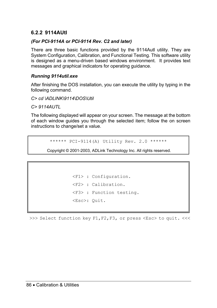### **6.2.2 9114AUtl**

### *(For PCI-9114A or PCI-9114 Rev. C2 and later)*

There are three basic functions provided by the 9114Autl utility. They are System Configuration, Calibration, and Functional Testing. This software utility is designed as a menu-driven based windows environment. It provides text messages and graphical indicators for operating guidance.

### *Running 9114util.exe*

After finishing the DOS installation, you can execute the utility by typing in the following command.

*C> cd \ADLINK\9114\DOS\Util* 

*C> 9114AUTL*

The following displayed will appear on your screen. The message at the bottom of each window guides you through the selected item; follow the on screen instructions to change/set a value.

\*\*\*\*\*\* PCI-9114(A) Utility Rev. 2.0 \*\*\*\*\*\*

Copyright © 2001-2003, ADLink Technology Inc. All rights reserved.

```
<F1> : Configuration. 
<F2> : Calibration. 
<F3> : Function testing. 
<Esc>: Quit.
```
>>> Select function key F1,F2,F3, or press <Esc> to quit. <<<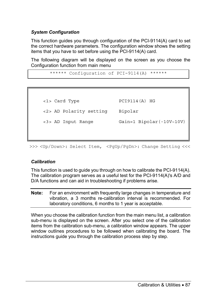### *System Configuration*

This function guides you through configuration of the PCI-9114(A) card to set the correct hardware parameters. The configuration window shows the setting items that you have to set before using the PCI-9114(A) card.

The following diagram will be displayed on the screen as you choose the Configuration function from main menu

```
****** Configuration of PCI-9114(A) ******
```
<1> Card Type PCI9114(A) HG <2> AD Polarity setting Bipolar

<3> AD Input Range Gain=1 Bipolar(-10V~10V)

>>> <Up/Down>: Select Item, <PqUp/PqDn>: Change Setting <<<

### *Calibration*

This function is used to guide you through on how to calibrate the PCI-9114(A). The calibration program serves as a useful test for the PCI-9114(A)'s A/D and D/A functions and can aid in troubleshooting if problems arise.

**Note:** For an environment with frequently large changes in temperature and vibration, a 3 months re-calibration interval is recommended. For laboratory conditions, 6 months to 1 year is acceptable.

When you choose the calibration function from the main menu list, a calibration sub-menu is displayed on the screen. After you select one of the calibration items from the calibration sub-menu, a calibration window appears. The upper window outlines procedures to be followed when calibrating the board. The instructions guide you through the calibration process step by step.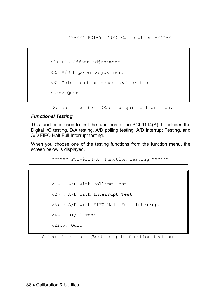\*\*\*\*\*\* PCI-9114(A) Calibration \*\*\*\*\*\*

<1> PGA Offset adjustment <2> A/D Bipolar adjustment <3> Cold junction sensor calibration <Esc> Quit

Select 1 to 3 or <Esc> to quit calibration.

#### *Functional Testing*

This function is used to test the functions of the PCI-9114(A). It includes the Digital I/O testing, D/A testing, A/D polling testing, A/D Interrupt Testing, and A/D FIFO Half-Full Interrupt testing.

When you choose one of the testing functions from the function menu, the screen below is displayed.

\*\*\*\*\*\* PCI-9114(A) Function Testing \*\*\*\*\*\*

<1> : A/D with Polling Test <2> : A/D with Interrupt Test <3> : A/D with FIFO Half-Full Interrupt <4> : DI/DO Test <Esc>: Quit

Select 1 to 4 or (Esc) to quit function testing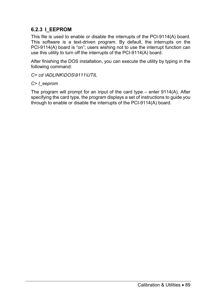### **6.2.3 I\_EEPROM**

This file is used to enable or disable the interrupts of the PCI-9114(A) board. This software is a text-driven program. By default, the interrupts on the PCI-9114(A) board is "on"; users wishing not to use the interrupt function can use this utility to turn off the interrupts of the PCI-9114(A) board.

After finishing the DOS installation, you can execute the utility by typing in the following command:

*C> cd \ADLINK\DOS\9111\UTIL* 

### *C> I\_eeprom*

The program will prompt for an input of the card type – enter 9114(A). After specifying the card type, the program displays a set of instructions to guide you through to enable or disable the interrupts of the PCI-9114(A) board.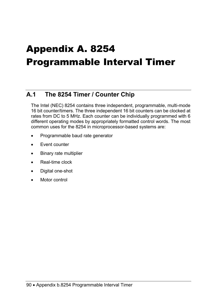# Appendix A. 8254 Programmable Interval Timer

## **A.1 The 8254 Timer / Counter Chip**

The Intel (NEC) 8254 contains three independent, programmable, multi-mode 16 bit counter/timers. The three independent 16 bit counters can be clocked at rates from DC to 5 MHz. Each counter can be individually programmed with 6 different operating modes by appropriately formatted control words. The most common uses for the 8254 in microprocessor-based systems are:

- Programmable baud rate generator
- Event counter
- Binary rate multiplier
- Real-time clock
- Digital one-shot
- Motor control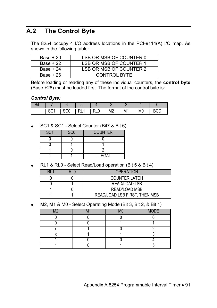## **A.2 The Control Byte**

The 8254 occupy 4 I/O address locations in the PCI-9114(A) I/O map. As shown in the following table:

| Base + 20 | LSB OR MSB OF COUNTER 0 |
|-----------|-------------------------|
| Base + 22 | LSB OR MSB OF COUNTER 1 |
| Base + 24 | LSB OR MSB OF COUNTER 2 |
| Base + 26 | CONTROL BYTE            |

Before loading or reading any of these individual counters, the **control byte**  (Base +26) must be loaded first. The format of the control byte is:

#### *Control Byte:*

| ור |           |     |      |            |    |    |    |    |
|----|-----------|-----|------|------------|----|----|----|----|
|    | ິ<br>ו טט | งบบ | N⊨ ! | <b>ILA</b> | M2 | M1 | M0 | שט |

• SC1 & SC1 - Select Counter (Bit7 & Bit 6)

| SC <sub>1</sub> | <b>SCO</b> | <b>COUNTER</b> |  |  |
|-----------------|------------|----------------|--|--|
|                 |            |                |  |  |
|                 |            |                |  |  |
|                 |            |                |  |  |
|                 |            | <b>ILLEGAL</b> |  |  |

• RL1 & RL0 - Select Read/Load operation (Bit 5 & Bit 4)

|  | <b>OPERATION</b>              |  |
|--|-------------------------------|--|
|  | <b>COUNTER LATCH</b>          |  |
|  | READ/LOAD LSB                 |  |
|  | READ/LOAD MSB                 |  |
|  | READ/LOAD LSB FIRST, THEN MSB |  |

• M2, M1 & M0 - Select Operating Mode (Bit 3, Bit 2, & Bit 1)

| $\overline{M}$ |  | <b>MODE</b> |
|----------------|--|-------------|
|                |  |             |
|                |  |             |
|                |  |             |
|                |  |             |
|                |  |             |
|                |  |             |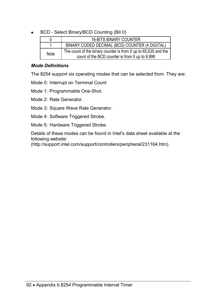• BCD - Select Binary/BCD Counting (Bit 0)

|      | <b>16-BITS BINARY COUNTER</b>                                                                                    |
|------|------------------------------------------------------------------------------------------------------------------|
|      | BINARY CODED DECIMAL (BCD) COUNTER (4 DIGITAL)                                                                   |
| Note | The count of the binary counter is from 0 up to 65,535 and the<br>count of the BCD counter is from 0 up to 9,999 |

### *Mode Definitions*

The 8254 support six operating modes that can be selected from. They are:

Mode 0: Interrupt on Terminal Count

Mode 1: Programmable One-Shot.

Mode 2: Rate Generator.

Mode 3: Square Wave Rate Generator.

Mode 4: Software Triggered Strobe.

Mode 5: Hardware Triggered Strobe.

Details of these modes can be found in Intel's data sheet available at the following website:

(http://support.intel.com/support/controllers/peripheral/231164.htm).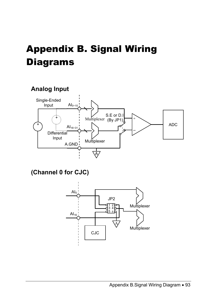# Appendix B. Signal Wiring **Diagrams**



**(Channel 0 for CJC)** 



Appendix B.Signal Wiring Diagram • 93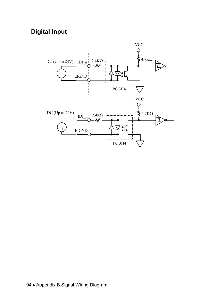## **Digital Input**

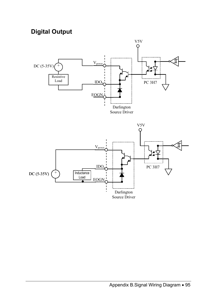## **Digital Output**

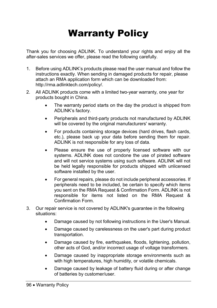# Warranty Policy

Thank you for choosing ADLINK. To understand your rights and enjoy all the after-sales services we offer, please read the following carefully.

- 1. Before using ADLINK's products please read the user manual and follow the instructions exactly. When sending in damaged products for repair, please attach an RMA application form which can be downloaded from: http://rma.adlinktech.com/policy/.
- 2. All ADLINK products come with a limited two-year warranty, one year for products bought in China.
	- The warranty period starts on the day the product is shipped from ADLINK's factory.
	- Peripherals and third-party products not manufactured by ADLINK will be covered by the original manufacturers' warranty.
	- For products containing storage devices (hard drives, flash cards, etc.), please back up your data before sending them for repair. ADLINK is not responsible for any loss of data.
	- Please ensure the use of properly licensed software with our systems. ADLINK does not condone the use of pirated software and will not service systems using such software. ADLINK will not be held legally responsible for products shipped with unlicensed software installed by the user.
	- For general repairs, please do not include peripheral accessories. If peripherals need to be included, be certain to specify which items you sent on the RMA Request & Confirmation Form. ADLINK is not responsible for items not listed on the RMA Request & Confirmation Form.
- 3. Our repair service is not covered by ADLINK's guarantee in the following situations:
	- Damage caused by not following instructions in the User's Manual.
	- Damage caused by carelessness on the user's part during product transportation.
	- Damage caused by fire, earthquakes, floods, lightening, pollution, other acts of God, and/or incorrect usage of voltage transformers.
	- Damage caused by inappropriate storage environments such as with high temperatures, high humidity, or volatile chemicals.
	- Damage caused by leakage of battery fluid during or after change of batteries by customer/user.